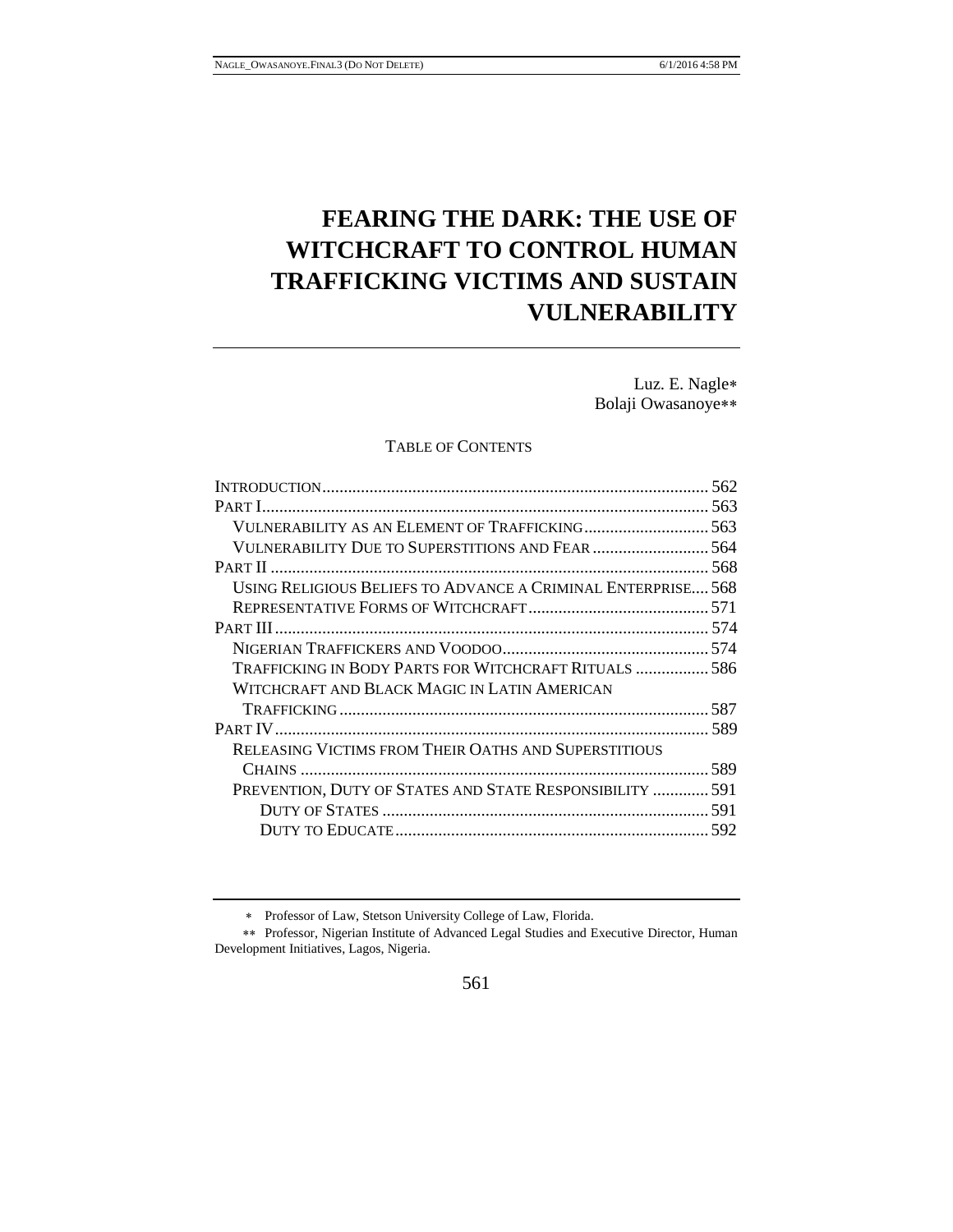# **FEARING THE DARK: THE USE OF WITCHCRAFT TO CONTROL HUMAN TRAFFICKING VICTIMS AND SUSTAIN VULNERABILITY**

Luz. E. Nagle Bolaji Owasanoye

## TABLE OF CONTENTS

| VULNERABILITY AS AN ELEMENT OF TRAFFICKING 563               |  |
|--------------------------------------------------------------|--|
|                                                              |  |
|                                                              |  |
| USING RELIGIOUS BELIEFS TO ADVANCE A CRIMINAL ENTERPRISE 568 |  |
|                                                              |  |
|                                                              |  |
|                                                              |  |
| TRAFFICKING IN BODY PARTS FOR WITCHCRAFT RITUALS  586        |  |
| WITCHCRAFT AND BLACK MAGIC IN LATIN AMERICAN                 |  |
|                                                              |  |
|                                                              |  |
| RELEASING VICTIMS FROM THEIR OATHS AND SUPERSTITIOUS         |  |
|                                                              |  |
| PREVENTION, DUTY OF STATES AND STATE RESPONSIBILITY  591     |  |
|                                                              |  |
|                                                              |  |
|                                                              |  |

Professor of Law, Stetson University College of Law, Florida.

<sup>\*\*</sup> Professor, Nigerian Institute of Advanced Legal Studies and Executive Director, Human Development Initiatives, Lagos, Nigeria.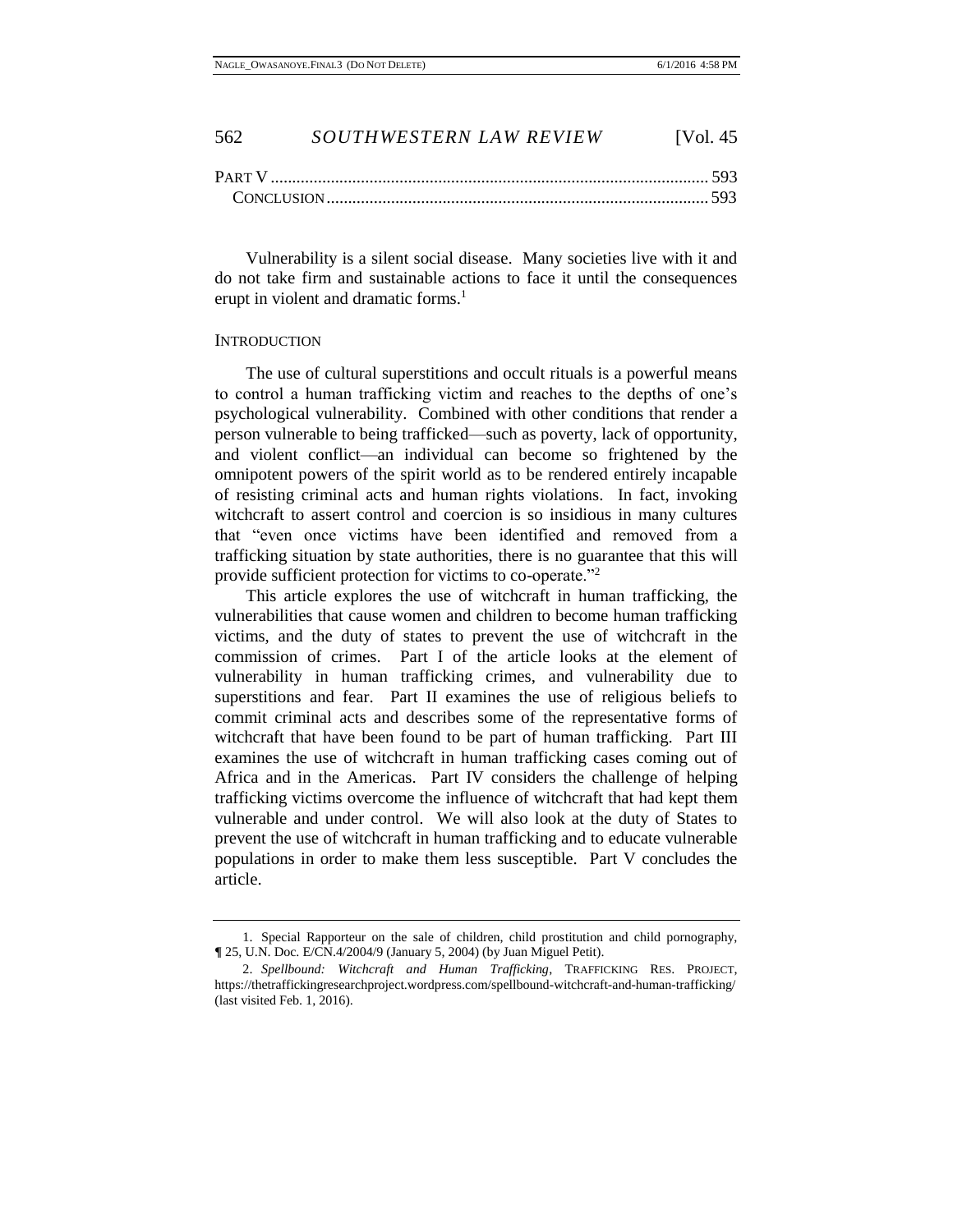| <b>PART V</b> |  |
|---------------|--|
|               |  |

Vulnerability is a silent social disease. Many societies live with it and do not take firm and sustainable actions to face it until the consequences erupt in violent and dramatic forms.<sup>1</sup>

#### <span id="page-1-0"></span>**INTRODUCTION**

The use of cultural superstitions and occult rituals is a powerful means to control a human trafficking victim and reaches to the depths of one's psychological vulnerability. Combined with other conditions that render a person vulnerable to being trafficked—such as poverty, lack of opportunity, and violent conflict—an individual can become so frightened by the omnipotent powers of the spirit world as to be rendered entirely incapable of resisting criminal acts and human rights violations. In fact, invoking witchcraft to assert control and coercion is so insidious in many cultures that "even once victims have been identified and removed from a trafficking situation by state authorities, there is no guarantee that this will provide sufficient protection for victims to co-operate."<sup>2</sup>

This article explores the use of witchcraft in human trafficking, the vulnerabilities that cause women and children to become human trafficking victims, and the duty of states to prevent the use of witchcraft in the commission of crimes. Part I of the article looks at the element of vulnerability in human trafficking crimes, and vulnerability due to superstitions and fear. Part II examines the use of religious beliefs to commit criminal acts and describes some of the representative forms of witchcraft that have been found to be part of human trafficking. Part III examines the use of witchcraft in human trafficking cases coming out of Africa and in the Americas. Part IV considers the challenge of helping trafficking victims overcome the influence of witchcraft that had kept them vulnerable and under control. We will also look at the duty of States to prevent the use of witchcraft in human trafficking and to educate vulnerable populations in order to make them less susceptible. Part V concludes the article.

<sup>1.</sup> Special Rapporteur on the sale of children, child prostitution and child pornography, **¶** 25, U.N. Doc. E/CN.4/2004/9 (January 5, 2004) (by Juan Miguel Petit).

<sup>2.</sup> *Spellbound: Witchcraft and Human Trafficking*, TRAFFICKING RES. PROJECT, https://thetraffickingresearchproject.wordpress.com/spellbound-witchcraft-and-human-trafficking/ (last visited Feb. 1, 2016).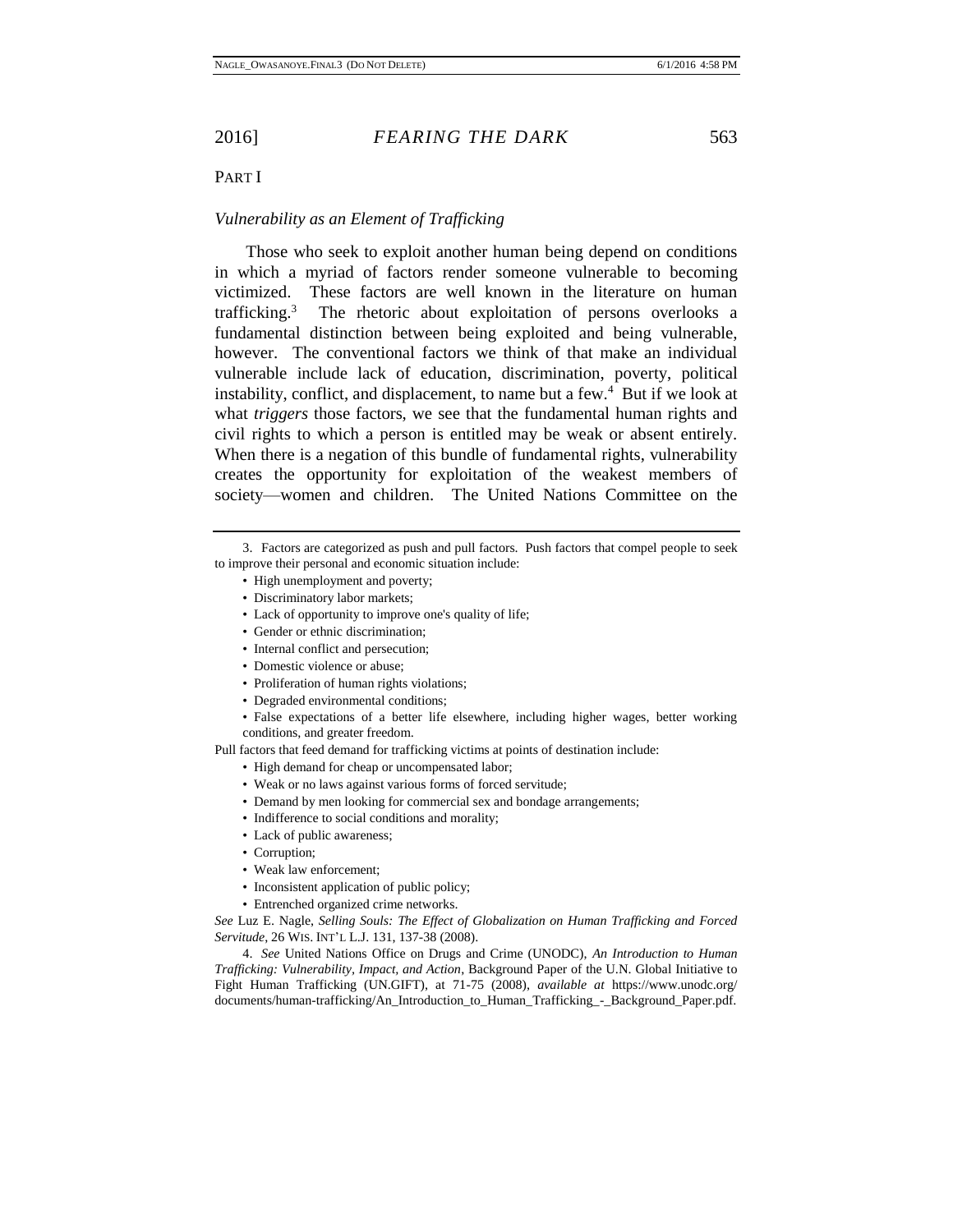# <span id="page-2-0"></span>PART I

# <span id="page-2-1"></span>*Vulnerability as an Element of Trafficking*

Those who seek to exploit another human being depend on conditions in which a myriad of factors render someone vulnerable to becoming victimized. These factors are well known in the literature on human trafficking.<sup>3</sup> The rhetoric about exploitation of persons overlooks a fundamental distinction between being exploited and being vulnerable, however. The conventional factors we think of that make an individual vulnerable include lack of education, discrimination, poverty, political instability, conflict, and displacement, to name but a few.<sup>4</sup> But if we look at what *triggers* those factors, we see that the fundamental human rights and civil rights to which a person is entitled may be weak or absent entirely. When there is a negation of this bundle of fundamental rights, vulnerability creates the opportunity for exploitation of the weakest members of society—women and children. The United Nations Committee on the

- High unemployment and poverty;
- Discriminatory labor markets;
- Lack of opportunity to improve one's quality of life;
- Gender or ethnic discrimination;
- Internal conflict and persecution;
- Domestic violence or abuse;
- Proliferation of human rights violations;
- Degraded environmental conditions;
- False expectations of a better life elsewhere, including higher wages, better working conditions, and greater freedom.

Pull factors that feed demand for trafficking victims at points of destination include:

- High demand for cheap or uncompensated labor;
- Weak or no laws against various forms of forced servitude;
- Demand by men looking for commercial sex and bondage arrangements;
- Indifference to social conditions and morality;
- Lack of public awareness;
- Corruption;
- Weak law enforcement;
- Inconsistent application of public policy;
- Entrenched organized crime networks.

*See* Luz E. Nagle, *Selling Souls: The Effect of Globalization on Human Trafficking and Forced Servitude*, 26 WIS. INT'L L.J. 131, 137-38 (2008).

4. *See* United Nations Office on Drugs and Crime (UNODC), *An Introduction to Human Trafficking: Vulnerability, Impact, and Action*, Background Paper of the U.N. Global Initiative to Fight Human Trafficking (UN.GIFT), at 71-75 (2008), *available at* https://www.unodc.org/ documents/human-trafficking/An\_Introduction\_to\_Human\_Trafficking\_-\_Background\_Paper.pdf.

<sup>3.</sup> Factors are categorized as push and pull factors. Push factors that compel people to seek to improve their personal and economic situation include: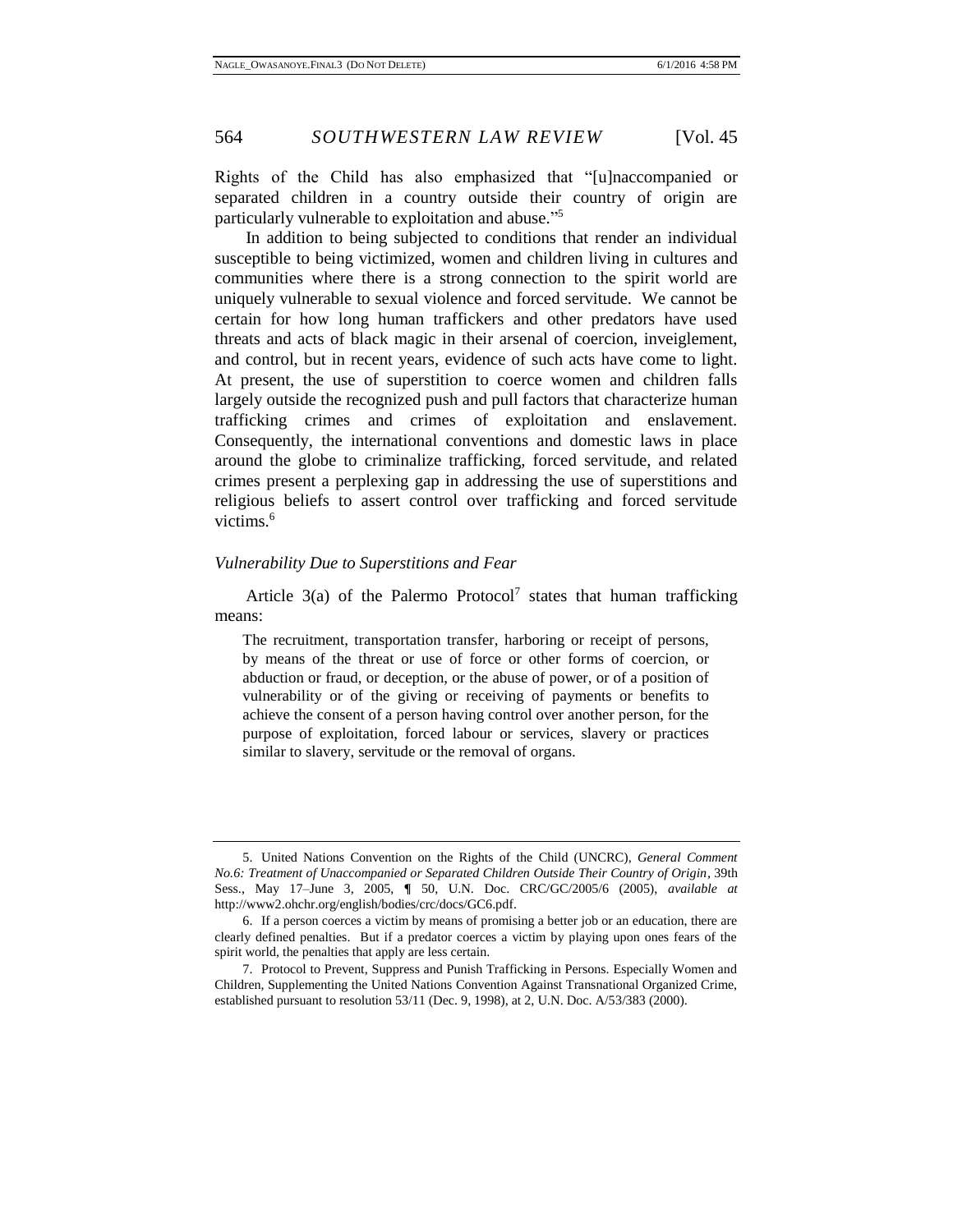Rights of the Child has also emphasized that "[u]naccompanied or separated children in a country outside their country of origin are particularly vulnerable to exploitation and abuse." 5

In addition to being subjected to conditions that render an individual susceptible to being victimized, women and children living in cultures and communities where there is a strong connection to the spirit world are uniquely vulnerable to sexual violence and forced servitude. We cannot be certain for how long human traffickers and other predators have used threats and acts of black magic in their arsenal of coercion, inveiglement, and control, but in recent years, evidence of such acts have come to light. At present, the use of superstition to coerce women and children falls largely outside the recognized push and pull factors that characterize human trafficking crimes and crimes of exploitation and enslavement. Consequently, the international conventions and domestic laws in place around the globe to criminalize trafficking, forced servitude, and related crimes present a perplexing gap in addressing the use of superstitions and religious beliefs to assert control over trafficking and forced servitude victims.<sup>6</sup>

#### <span id="page-3-0"></span>*Vulnerability Due to Superstitions and Fear*

Article  $3(a)$  of the Palermo Protocol<sup>7</sup> states that human trafficking means:

The recruitment, transportation transfer, harboring or receipt of persons, by means of the threat or use of force or other forms of coercion, or abduction or fraud, or deception, or the abuse of power, or of a position of vulnerability or of the giving or receiving of payments or benefits to achieve the consent of a person having control over another person, for the purpose of exploitation, forced labour or services, slavery or practices similar to slavery, servitude or the removal of organs.

<sup>5.</sup> United Nations Convention on the Rights of the Child (UNCRC), *General Comment No.6: Treatment of Unaccompanied or Separated Children Outside Their Country of Origin*, 39th Sess., May 17–June 3, 2005, **¶** 50, U.N. Doc. CRC/GC/2005/6 (2005), *available at* http://www2.ohchr.org/english/bodies/crc/docs/GC6.pdf.

<sup>6.</sup> If a person coerces a victim by means of promising a better job or an education, there are clearly defined penalties. But if a predator coerces a victim by playing upon ones fears of the spirit world, the penalties that apply are less certain.

<sup>7.</sup> Protocol to Prevent, Suppress and Punish Trafficking in Persons. Especially Women and Children, Supplementing the United Nations Convention Against Transnational Organized Crime, established pursuant to resolution 53/11 (Dec. 9, 1998), at 2, U.N. Doc. A/53/383 (2000).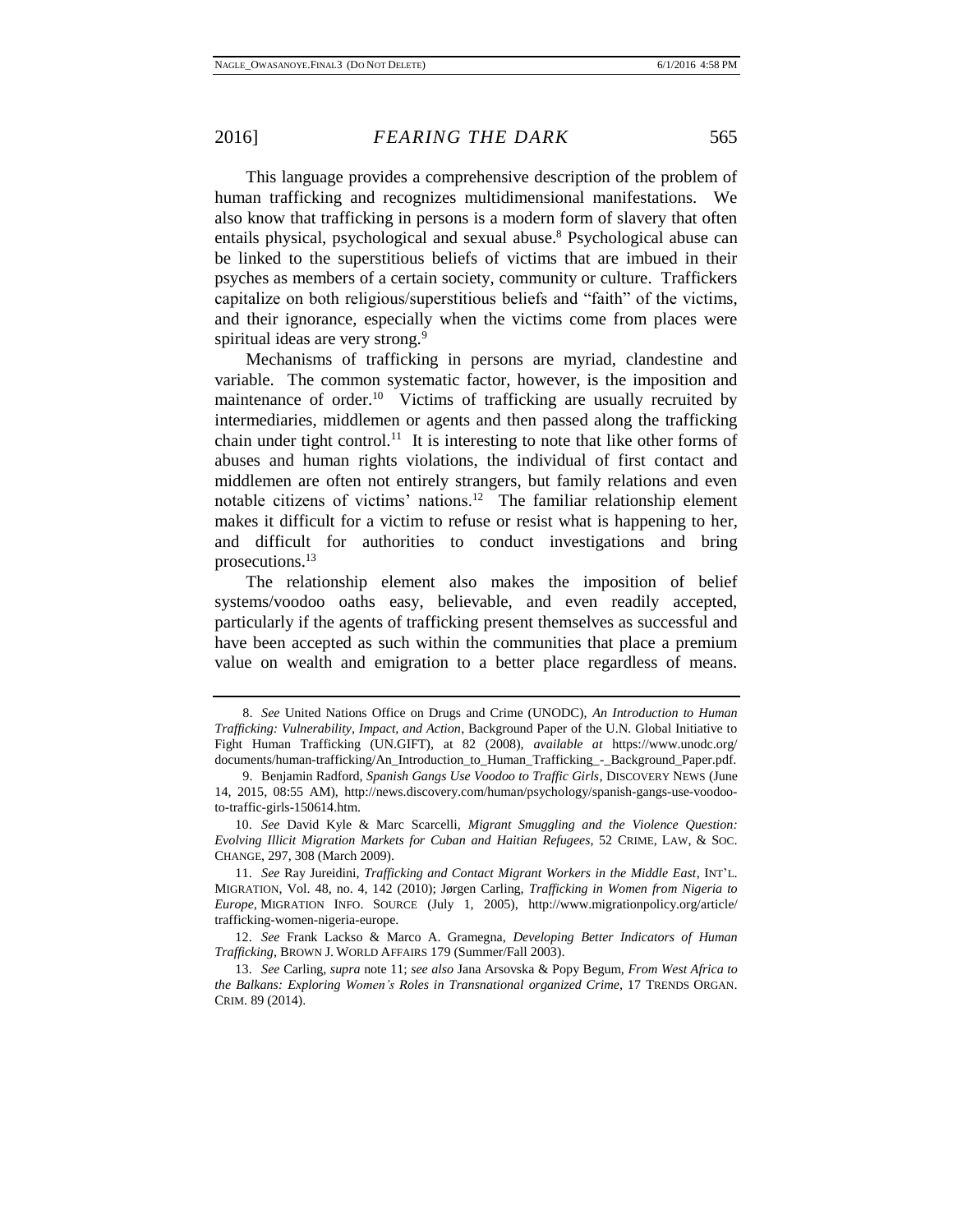This language provides a comprehensive description of the problem of human trafficking and recognizes multidimensional manifestations. We also know that trafficking in persons is a modern form of slavery that often entails physical, psychological and sexual abuse.<sup>8</sup> Psychological abuse can be linked to the superstitious beliefs of victims that are imbued in their psyches as members of a certain society, community or culture. Traffickers capitalize on both religious/superstitious beliefs and "faith" of the victims, and their ignorance, especially when the victims come from places were spiritual ideas are very strong.<sup>9</sup>

Mechanisms of trafficking in persons are myriad, clandestine and variable. The common systematic factor, however, is the imposition and maintenance of order.<sup>10</sup> Victims of trafficking are usually recruited by intermediaries, middlemen or agents and then passed along the trafficking chain under tight control.<sup>11</sup> It is interesting to note that like other forms of abuses and human rights violations, the individual of first contact and middlemen are often not entirely strangers, but family relations and even notable citizens of victims' nations.<sup>12</sup> The familiar relationship element makes it difficult for a victim to refuse or resist what is happening to her, and difficult for authorities to conduct investigations and bring prosecutions.<sup>13</sup>

The relationship element also makes the imposition of belief systems/voodoo oaths easy, believable, and even readily accepted, particularly if the agents of trafficking present themselves as successful and have been accepted as such within the communities that place a premium value on wealth and emigration to a better place regardless of means.

<sup>8.</sup> *See* United Nations Office on Drugs and Crime (UNODC), *An Introduction to Human Trafficking: Vulnerability, Impact, and Action*, Background Paper of the U.N. Global Initiative to Fight Human Trafficking (UN.GIFT), at 82 (2008), *available at* https://www.unodc.org/ documents/human-trafficking/An\_Introduction\_to\_Human\_Trafficking\_-\_Background\_Paper.pdf.

<sup>9.</sup> Benjamin Radford, *Spanish Gangs Use Voodoo to Traffic Girls*, DISCOVERY NEWS (June 14, 2015, 08:55 AM), http://news.discovery.com/human/psychology/spanish-gangs-use-voodooto-traffic-girls-150614.htm.

<sup>10.</sup> *See* David Kyle & Marc Scarcelli, *Migrant Smuggling and the Violence Question: Evolving Illicit Migration Markets for Cuban and Haitian Refugees*, 52 CRIME, LAW, & SOC. CHANGE, 297, 308 (March 2009).

<sup>11.</sup> *See* Ray Jureidini, *Trafficking and Contact Migrant Workers in the Middle East*, INT'L. MIGRATION, Vol. 48, no. 4, 142 (2010); Jørgen Carling, *Trafficking in Women from Nigeria to Europe*, MIGRATION INFO. SOURCE (July 1, 2005), http://www.migrationpolicy.org/article/ trafficking-women-nigeria-europe.

<sup>12.</sup> *See* Frank Lackso & Marco A. Gramegna, *Developing Better Indicators of Human Trafficking*, BROWN J. WORLD AFFAIRS 179 (Summer/Fall 2003).

<sup>13.</sup> *See* Carling, *supra* note 11; *see also* Jana Arsovska & Popy Begum, *From West Africa to the Balkans: Exploring Women's Roles in Transnational organized Crime*, 17 TRENDS ORGAN. CRIM. 89 (2014).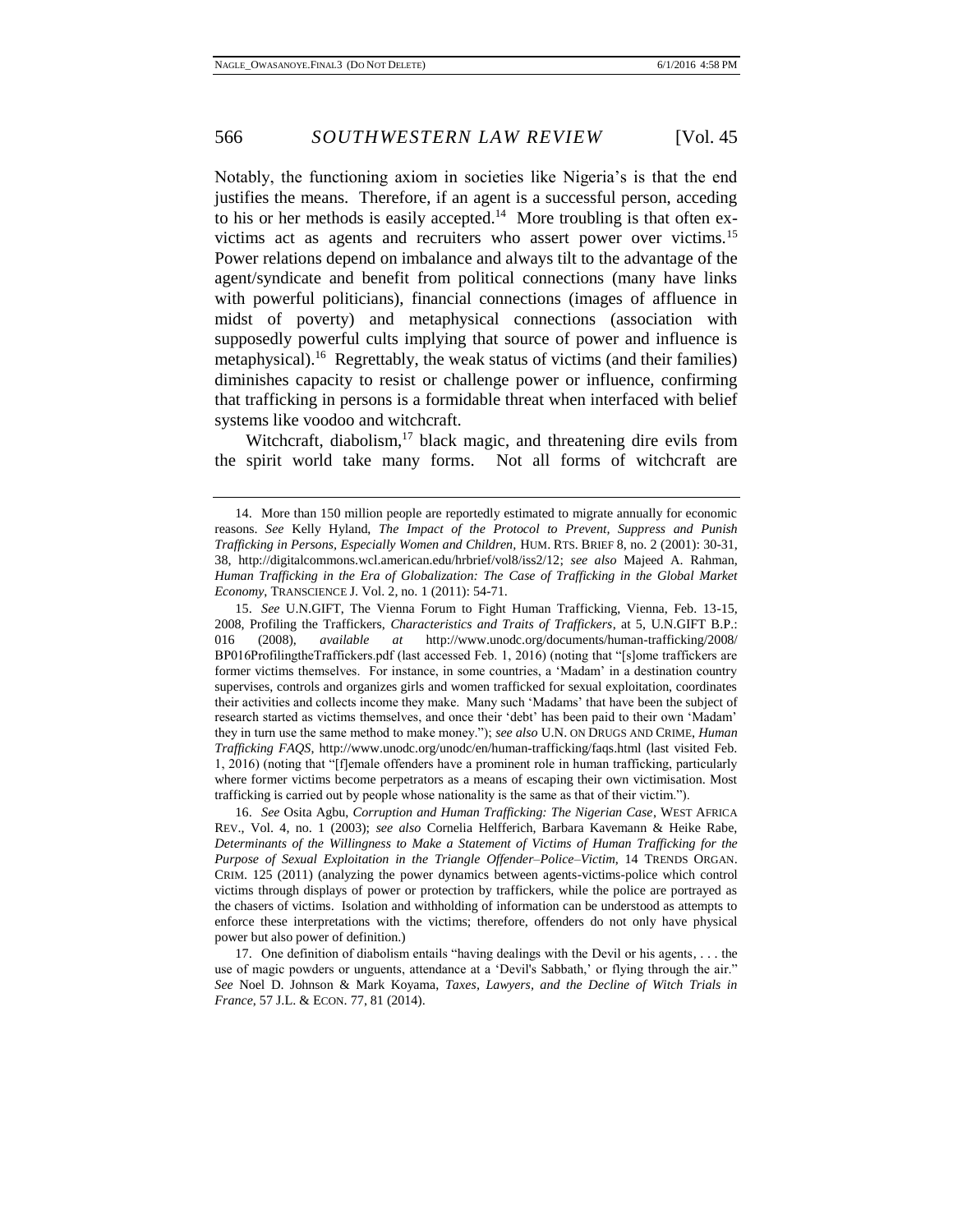Notably, the functioning axiom in societies like Nigeria's is that the end justifies the means. Therefore, if an agent is a successful person, acceding to his or her methods is easily accepted.<sup>14</sup> More troubling is that often exvictims act as agents and recruiters who assert power over victims.<sup>15</sup> Power relations depend on imbalance and always tilt to the advantage of the agent/syndicate and benefit from political connections (many have links with powerful politicians), financial connections (images of affluence in midst of poverty) and metaphysical connections (association with supposedly powerful cults implying that source of power and influence is metaphysical).<sup>16</sup> Regrettably, the weak status of victims (and their families) diminishes capacity to resist or challenge power or influence, confirming that trafficking in persons is a formidable threat when interfaced with belief systems like voodoo and witchcraft.

Witchcraft, diabolism, $17$  black magic, and threatening dire evils from the spirit world take many forms. Not all forms of witchcraft are

16. *See* Osita Agbu, *Corruption and Human Trafficking: The Nigerian Case*, WEST AFRICA REV., Vol. 4, no. 1 (2003); *see also* Cornelia Helfferich, Barbara Kavemann & Heike Rabe, *Determinants of the Willingness to Make a Statement of Victims of Human Trafficking for the Purpose of Sexual Exploitation in the Triangle Offender–Police–Victim*, 14 TRENDS ORGAN. CRIM. 125 (2011) (analyzing the power dynamics between agents-victims-police which control victims through displays of power or protection by traffickers, while the police are portrayed as the chasers of victims. Isolation and withholding of information can be understood as attempts to enforce these interpretations with the victims; therefore, offenders do not only have physical power but also power of definition.)

17. One definition of diabolism entails "having dealings with the Devil or his agents, . . . the use of magic powders or unguents, attendance at a 'Devil's Sabbath,' or flying through the air." *See* Noel D. Johnson & Mark Koyama, *Taxes, Lawyers, and the Decline of Witch Trials in France*, 57 J.L. & ECON. 77, 81 (2014).

<sup>14.</sup> More than 150 million people are reportedly estimated to migrate annually for economic reasons. *See* Kelly Hyland, *The Impact of the Protocol to Prevent, Suppress and Punish Trafficking in Persons, Especially Women and Children,* HUM. RTS. BRIEF 8, no. 2 (2001): 30-31, 38, http://digitalcommons.wcl.american.edu/hrbrief/vol8/iss2/12; *see also* Majeed A. Rahman, *Human Trafficking in the Era of Globalization: The Case of Trafficking in the Global Market Economy*, TRANSCIENCE J. Vol. 2, no. 1 (2011): 54-71.

<sup>15.</sup> *See* U.N.GIFT, The Vienna Forum to Fight Human Trafficking, Vienna, Feb. 13-15, 2008, Profiling the Traffickers, *Characteristics and Traits of Traffickers*, at 5, U.N.GIFT B.P.: 016 (2008), *available at* http://www.unodc.org/documents/human-trafficking/2008/ BP016ProfilingtheTraffickers.pdf (last accessed Feb. 1, 2016) (noting that "[s]ome traffickers are former victims themselves. For instance, in some countries, a 'Madam' in a destination country supervises, controls and organizes girls and women trafficked for sexual exploitation, coordinates their activities and collects income they make. Many such 'Madams' that have been the subject of research started as victims themselves, and once their 'debt' has been paid to their own 'Madam' they in turn use the same method to make money."); *see also* U.N. ON DRUGS AND CRIME, *Human Trafficking FAQS*, http://www.unodc.org/unodc/en/human-trafficking/faqs.html (last visited Feb. 1, 2016) (noting that "[f]emale offenders have a prominent role in human trafficking, particularly where former victims become perpetrators as a means of escaping their own victimisation. Most trafficking is carried out by people whose nationality is the same as that of their victim.").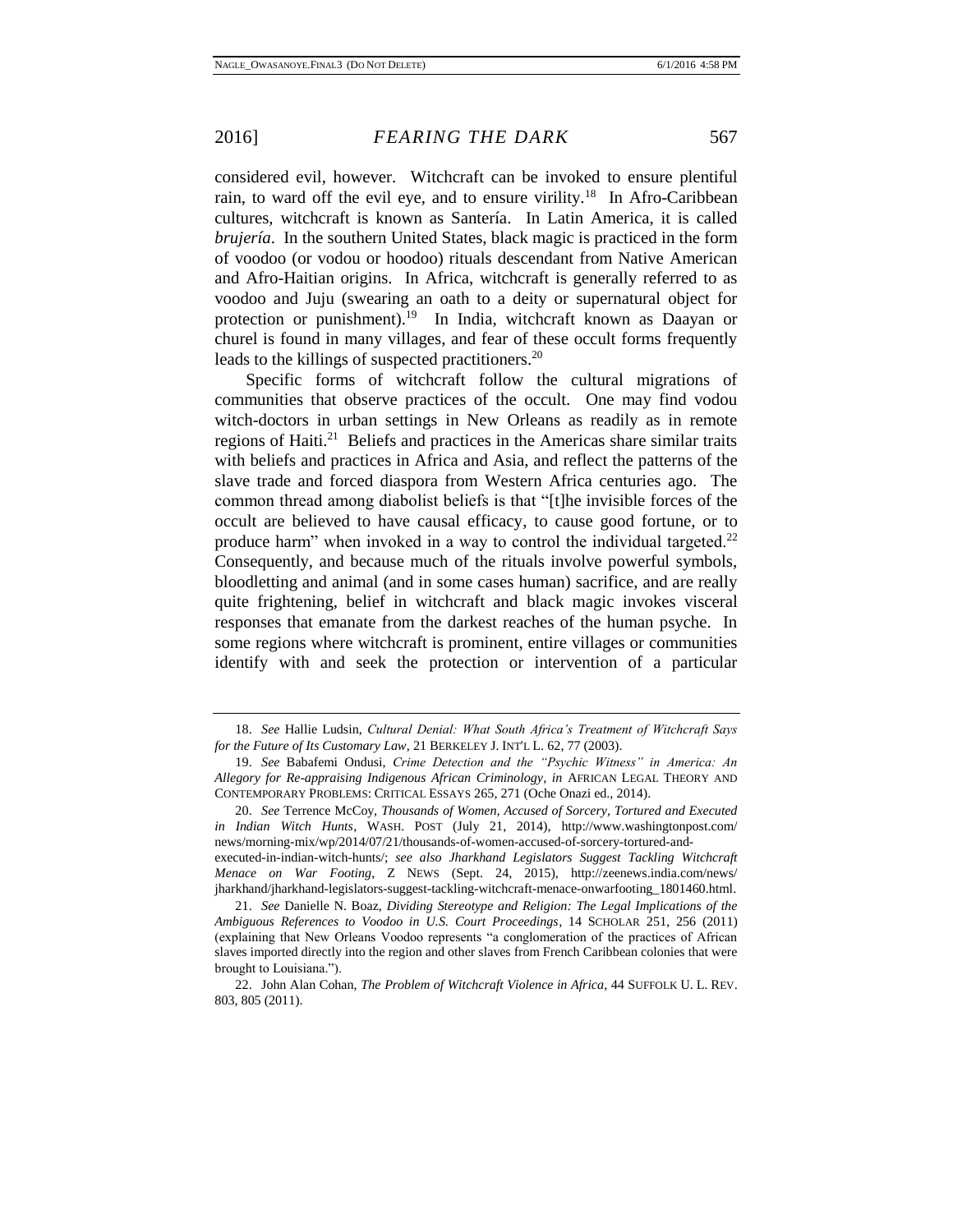considered evil, however. Witchcraft can be invoked to ensure plentiful rain, to ward off the evil eye, and to ensure virility.<sup>18</sup> In Afro-Caribbean cultures, witchcraft is known as Santería. In Latin America, it is called *brujería*. In the southern United States, black magic is practiced in the form of voodoo (or vodou or hoodoo) rituals descendant from Native American and Afro-Haitian origins. In Africa, witchcraft is generally referred to as voodoo and Juju (swearing an oath to a deity or supernatural object for protection or punishment).<sup>19</sup> In India, witchcraft known as Daayan or churel is found in many villages, and fear of these occult forms frequently leads to the killings of suspected practitioners.<sup>20</sup>

Specific forms of witchcraft follow the cultural migrations of communities that observe practices of the occult. One may find vodou witch-doctors in urban settings in New Orleans as readily as in remote regions of Haiti.<sup>21</sup> Beliefs and practices in the Americas share similar traits with beliefs and practices in Africa and Asia, and reflect the patterns of the slave trade and forced diaspora from Western Africa centuries ago. The common thread among diabolist beliefs is that "[t]he invisible forces of the occult are believed to have causal efficacy, to cause good fortune, or to produce harm" when invoked in a way to control the individual targeted. $22$ Consequently, and because much of the rituals involve powerful symbols, bloodletting and animal (and in some cases human) sacrifice, and are really quite frightening, belief in witchcraft and black magic invokes visceral responses that emanate from the darkest reaches of the human psyche. In some regions where witchcraft is prominent, entire villages or communities identify with and seek the protection or intervention of a particular

20. *See* Terrence McCoy, *Thousands of Women, Accused of Sorcery, Tortured and Executed in Indian Witch Hunts*, WASH. POST (July 21, 2014), http://www.washingtonpost.com/ news/morning-mix/wp/2014/07/21/thousands-of-women-accused-of-sorcery-tortured-andexecuted-in-indian-witch-hunts/; *see also Jharkhand Legislators Suggest Tackling Witchcraft Menace on War Footing*, Z NEWS (Sept. 24, 2015), http://zeenews.india.com/news/ jharkhand/jharkhand-legislators-suggest-tackling-witchcraft-menace-onwarfooting\_1801460.html.

21. *See* Danielle N. Boaz, *Dividing Stereotype and Religion: The Legal Implications of the Ambiguous References to Voodoo in U.S. Court Proceedings*, 14 SCHOLAR 251, 256 (2011) (explaining that New Orleans Voodoo represents "a conglomeration of the practices of African slaves imported directly into the region and other slaves from French Caribbean colonies that were brought to Louisiana.").

<sup>18.</sup> *See* Hallie Ludsin, *Cultural Denial: What South Africa's Treatment of Witchcraft Says for the Future of Its Customary Law*, 21 BERKELEY J. INT'L L. 62, 77 (2003).

<sup>19.</sup> *See* Babafemi Ondusi, *Crime Detection and the "Psychic Witness" in America: An Allegory for Re-appraising Indigenous African Criminology*, *in* AFRICAN LEGAL THEORY AND CONTEMPORARY PROBLEMS: CRITICAL ESSAYS 265, 271 (Oche Onazi ed., 2014).

<sup>22.</sup> John Alan Cohan, *The Problem of Witchcraft Violence in Africa*, 44 SUFFOLK U. L. REV. 803, 805 (2011).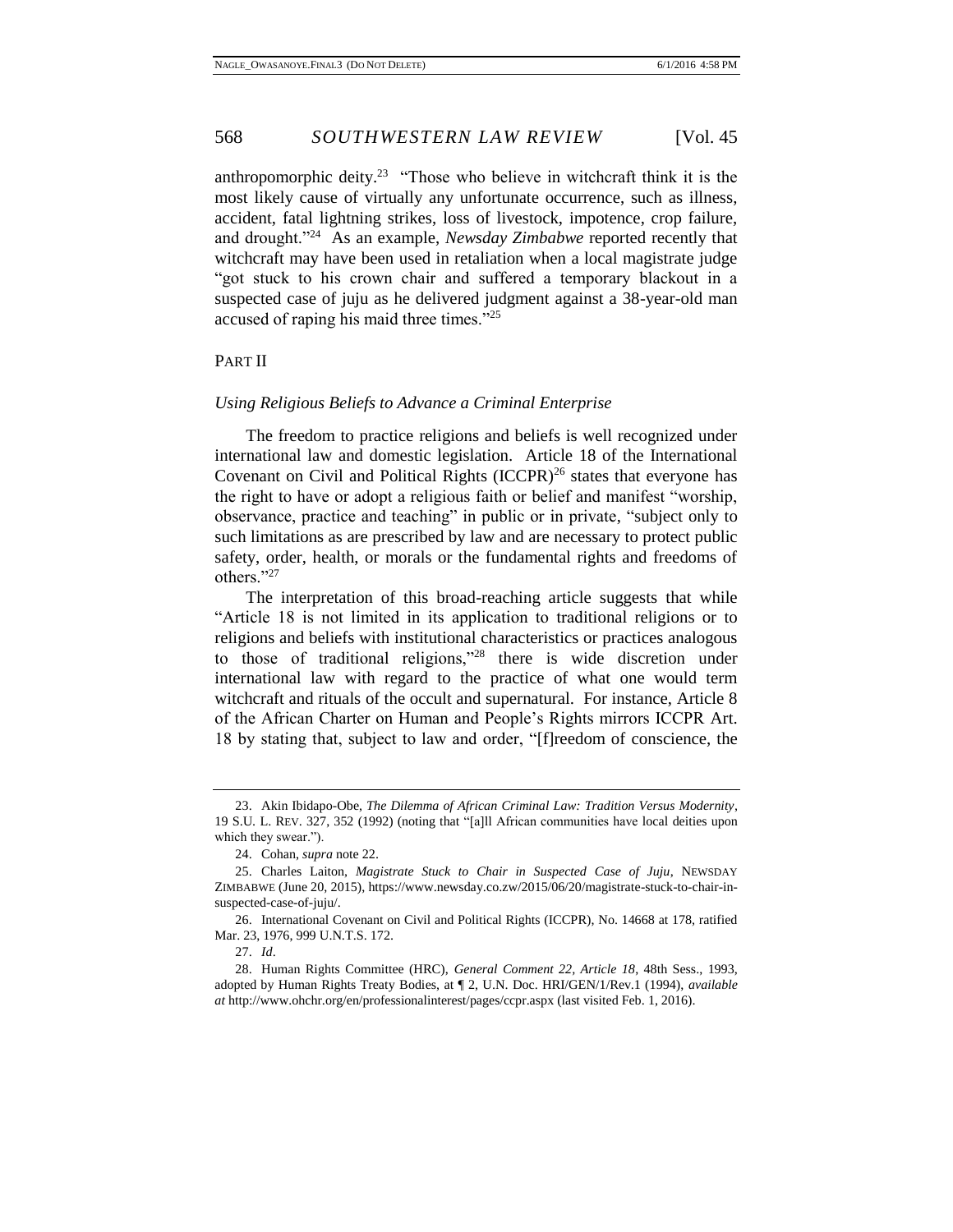anthropomorphic deity.<sup>23</sup> "Those who believe in witchcraft think it is the most likely cause of virtually any unfortunate occurrence, such as illness, accident, fatal lightning strikes, loss of livestock, impotence, crop failure, and drought."<sup>24</sup> As an example, *Newsday Zimbabwe* reported recently that witchcraft may have been used in retaliation when a local magistrate judge "got stuck to his crown chair and suffered a temporary blackout in a suspected case of juju as he delivered judgment against a 38-year-old man accused of raping his maid three times."<sup>25</sup>

## <span id="page-7-0"></span>PART II

#### <span id="page-7-1"></span>*Using Religious Beliefs to Advance a Criminal Enterprise*

The freedom to practice religions and beliefs is well recognized under international law and domestic legislation. Article 18 of the International Covenant on Civil and Political Rights  $(ICCPR)^{26}$  states that everyone has the right to have or adopt a religious faith or belief and manifest "worship, observance, practice and teaching" in public or in private, "subject only to such limitations as are prescribed by law and are necessary to protect public safety, order, health, or morals or the fundamental rights and freedoms of others."<sup>27</sup>

The interpretation of this broad-reaching article suggests that while "Article 18 is not limited in its application to traditional religions or to religions and beliefs with institutional characteristics or practices analogous to those of traditional religions,"<sup>28</sup> there is wide discretion under international law with regard to the practice of what one would term witchcraft and rituals of the occult and supernatural. For instance, Article 8 of the African Charter on Human and People's Rights mirrors ICCPR Art. 18 by stating that, subject to law and order, "[f]reedom of conscience, the

<sup>23.</sup> Akin Ibidapo-Obe, *The Dilemma of African Criminal Law: Tradition Versus Modernity*, 19 S.U. L. REV. 327, 352 (1992) (noting that "[a]ll African communities have local deities upon which they swear.").

<sup>24.</sup> Cohan, *supra* note 22.

<sup>25.</sup> Charles Laiton, *Magistrate Stuck to Chair in Suspected Case of Juju*, NEWSDAY ZIMBABWE (June 20, 2015), https://www.newsday.co.zw/2015/06/20/magistrate-stuck-to-chair-insuspected-case-of-juju/.

<sup>26.</sup> International Covenant on Civil and Political Rights (ICCPR), No. 14668 at 178, ratified Mar. 23, 1976, 999 U.N.T.S. 172.

<sup>27.</sup> *Id*.

<sup>28.</sup> Human Rights Committee (HRC), *General Comment 22, Article 18*, 48th Sess., 1993, adopted by Human Rights Treaty Bodies, at ¶ 2, U.N. Doc. HRI/GEN/1/Rev.1 (1994), *available at* http://www.ohchr.org/en/professionalinterest/pages/ccpr.aspx (last visited Feb. 1, 2016).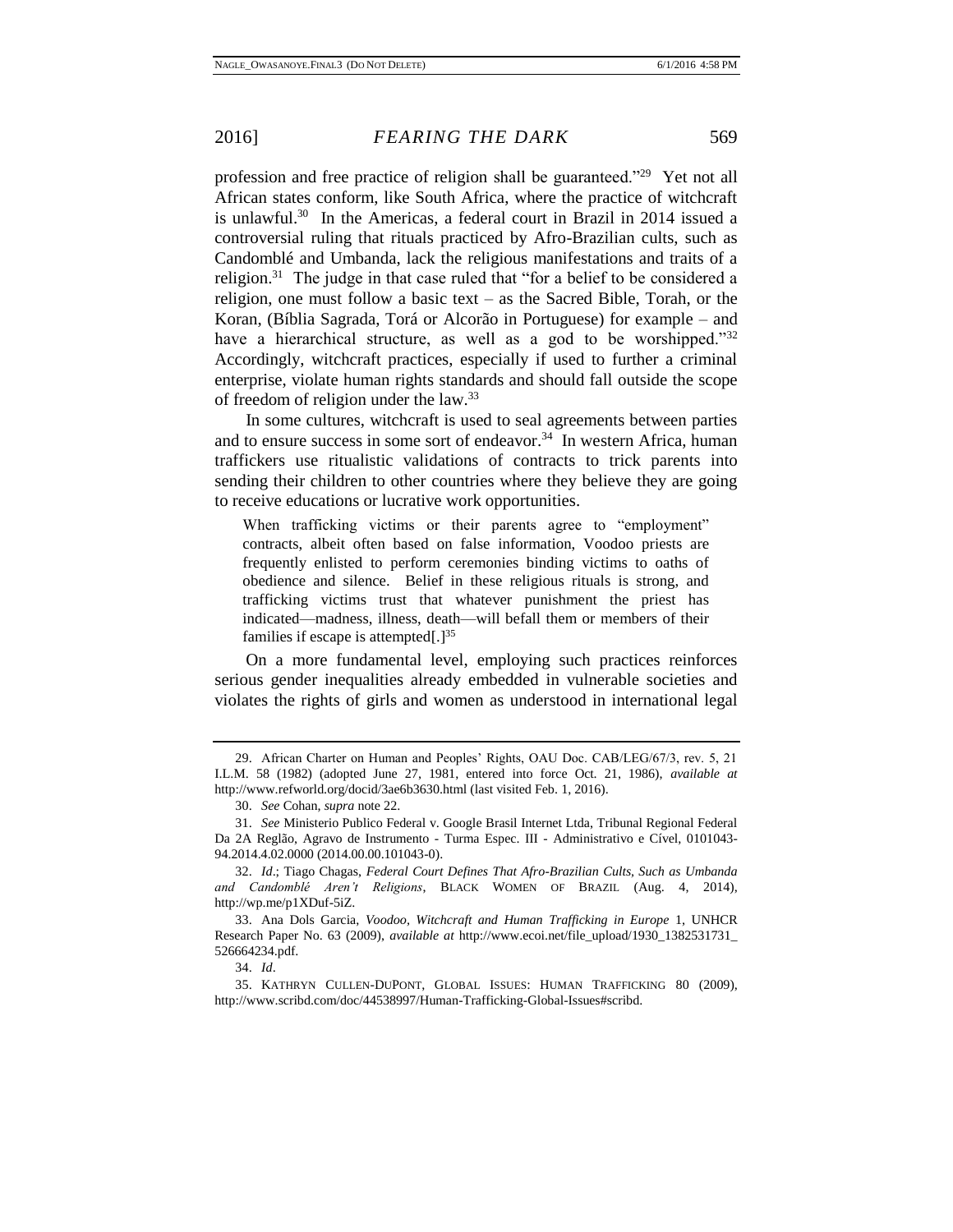profession and free practice of religion shall be guaranteed."<sup>29</sup> Yet not all African states conform, like South Africa, where the practice of witchcraft is unlawful.<sup>30</sup> In the Americas, a federal court in Brazil in 2014 issued a controversial ruling that rituals practiced by Afro-Brazilian cults, such as Candomblé and Umbanda, lack the religious manifestations and traits of a religion.<sup>31</sup> The judge in that case ruled that "for a belief to be considered a religion, one must follow a basic text – as the Sacred Bible, Torah, or the Koran, (Bíblia Sagrada, Torá or Alcorão in Portuguese) for example – and have a hierarchical structure, as well as a god to be worshipped."<sup>32</sup> Accordingly, witchcraft practices, especially if used to further a criminal enterprise, violate human rights standards and should fall outside the scope of freedom of religion under the law.<sup>33</sup>

In some cultures, witchcraft is used to seal agreements between parties and to ensure success in some sort of endeavor.<sup>34</sup> In western Africa, human traffickers use ritualistic validations of contracts to trick parents into sending their children to other countries where they believe they are going to receive educations or lucrative work opportunities.

When trafficking victims or their parents agree to "employment" contracts, albeit often based on false information, Voodoo priests are frequently enlisted to perform ceremonies binding victims to oaths of obedience and silence. Belief in these religious rituals is strong, and trafficking victims trust that whatever punishment the priest has indicated—madness, illness, death—will befall them or members of their families if escape is attempted[.]<sup>35</sup>

On a more fundamental level, employing such practices reinforces serious gender inequalities already embedded in vulnerable societies and violates the rights of girls and women as understood in international legal

33. Ana Dols Garcia, *Voodoo, Witchcraft and Human Trafficking in Europe* 1, UNHCR Research Paper No. 63 (2009), *available at* http://www.ecoi.net/file\_upload/1930\_1382531731\_ 526664234.pdf.

34. *Id*.

<sup>29.</sup> African Charter on Human and Peoples' Rights, OAU Doc. CAB/LEG/67/3, rev. 5, 21 I.L.M. 58 (1982) (adopted June 27, 1981, entered into force Oct. 21, 1986), *available at* http://www.refworld.org/docid/3ae6b3630.html (last visited Feb. 1, 2016).

<sup>30.</sup> *See* Cohan, *supra* note 22.

<sup>31.</sup> *See* Ministerio Publico Federal v. Google Brasil Internet Ltda, Tribunal Regional Federal Da 2A Reglão, Agravo de Instrumento - Turma Espec. III - Administrativo e Cível, 0101043- 94.2014.4.02.0000 (2014.00.00.101043-0).

<sup>32.</sup> *Id*.; Tiago Chagas, *Federal Court Defines That Afro-Brazilian Cults, Such as Umbanda and Candomblé Aren't Religions*, BLACK WOMEN OF BRAZIL (Aug. 4, 2014), http://wp.me/p1XDuf-5iZ.

<sup>35.</sup> KATHRYN CULLEN-DUPONT, GLOBAL ISSUES: HUMAN TRAFFICKING 80 (2009), http://www.scribd.com/doc/44538997/Human-Trafficking-Global-Issues#scribd.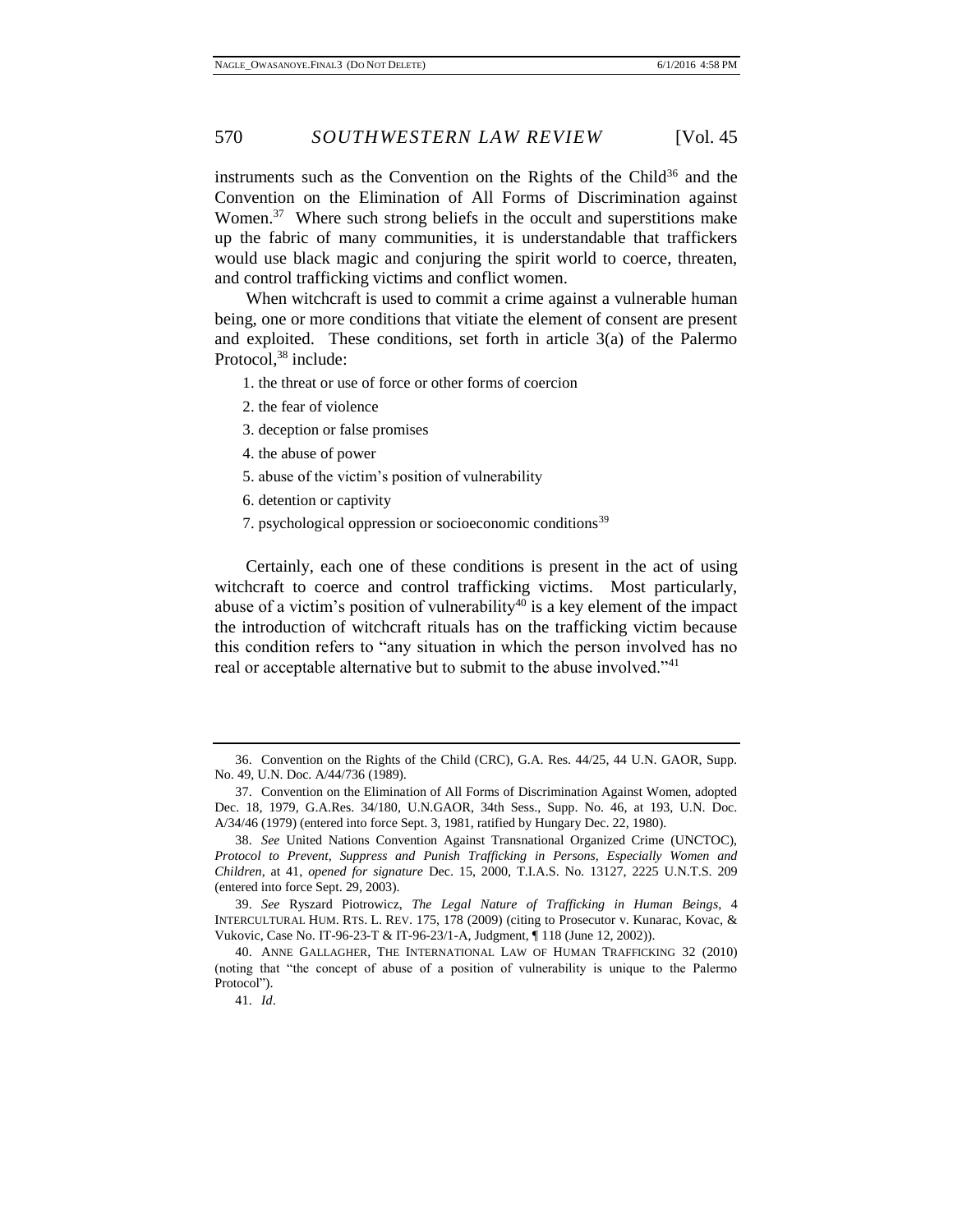instruments such as the Convention on the Rights of the Child<sup>36</sup> and the Convention on the Elimination of All Forms of Discrimination against Women.<sup>37</sup> Where such strong beliefs in the occult and superstitions make up the fabric of many communities, it is understandable that traffickers would use black magic and conjuring the spirit world to coerce, threaten, and control trafficking victims and conflict women.

When witchcraft is used to commit a crime against a vulnerable human being, one or more conditions that vitiate the element of consent are present and exploited. These conditions, set forth in article 3(a) of the Palermo Protocol.<sup>38</sup> include:

1. the threat or use of force or other forms of coercion

- 2. the fear of violence
- 3. deception or false promises
- 4. the abuse of power
- 5. abuse of the victim's position of vulnerability
- 6. detention or captivity
- 7. psychological oppression or socioeconomic conditions<sup>39</sup>

Certainly, each one of these conditions is present in the act of using witchcraft to coerce and control trafficking victims. Most particularly, abuse of a victim's position of vulnerability<sup>40</sup> is a key element of the impact the introduction of witchcraft rituals has on the trafficking victim because this condition refers to "any situation in which the person involved has no real or acceptable alternative but to submit to the abuse involved."<sup>41</sup>

39. *See* Ryszard Piotrowicz, *The Legal Nature of Trafficking in Human Beings*, 4 INTERCULTURAL HUM. RTS. L. REV. 175, 178 (2009) (citing to Prosecutor v. Kunarac, Kovac, & Vukovic, Case No. IT-96-23-T & IT-96-23/1-A, Judgment, ¶ 118 (June 12, 2002)).

<sup>36.</sup> Convention on the Rights of the Child (CRC), G.A. Res. 44/25, 44 U.N. GAOR, Supp. No. 49, U.N. Doc. A/44/736 (1989).

<sup>37.</sup> Convention on the Elimination of All Forms of Discrimination Against Women, adopted Dec. 18, 1979, G.A.Res. 34/180, U.N.GAOR, 34th Sess., Supp. No. 46, at 193, U.N. Doc. A/34/46 (1979) (entered into force Sept. 3, 1981, ratified by Hungary Dec. 22, 1980).

<sup>38.</sup> *See* United Nations Convention Against Transnational Organized Crime (UNCTOC), *Protocol to Prevent, Suppress and Punish Trafficking in Persons, Especially Women and Children*, at 41, *opened for signature* Dec. 15, 2000, T.I.A.S. No. 13127, 2225 U.N.T.S. 209 (entered into force Sept. 29, 2003).

<sup>40.</sup> ANNE GALLAGHER, THE INTERNATIONAL LAW OF HUMAN TRAFFICKING 32 (2010) (noting that "the concept of abuse of a position of vulnerability is unique to the Palermo Protocol").

<sup>41.</sup> *Id*.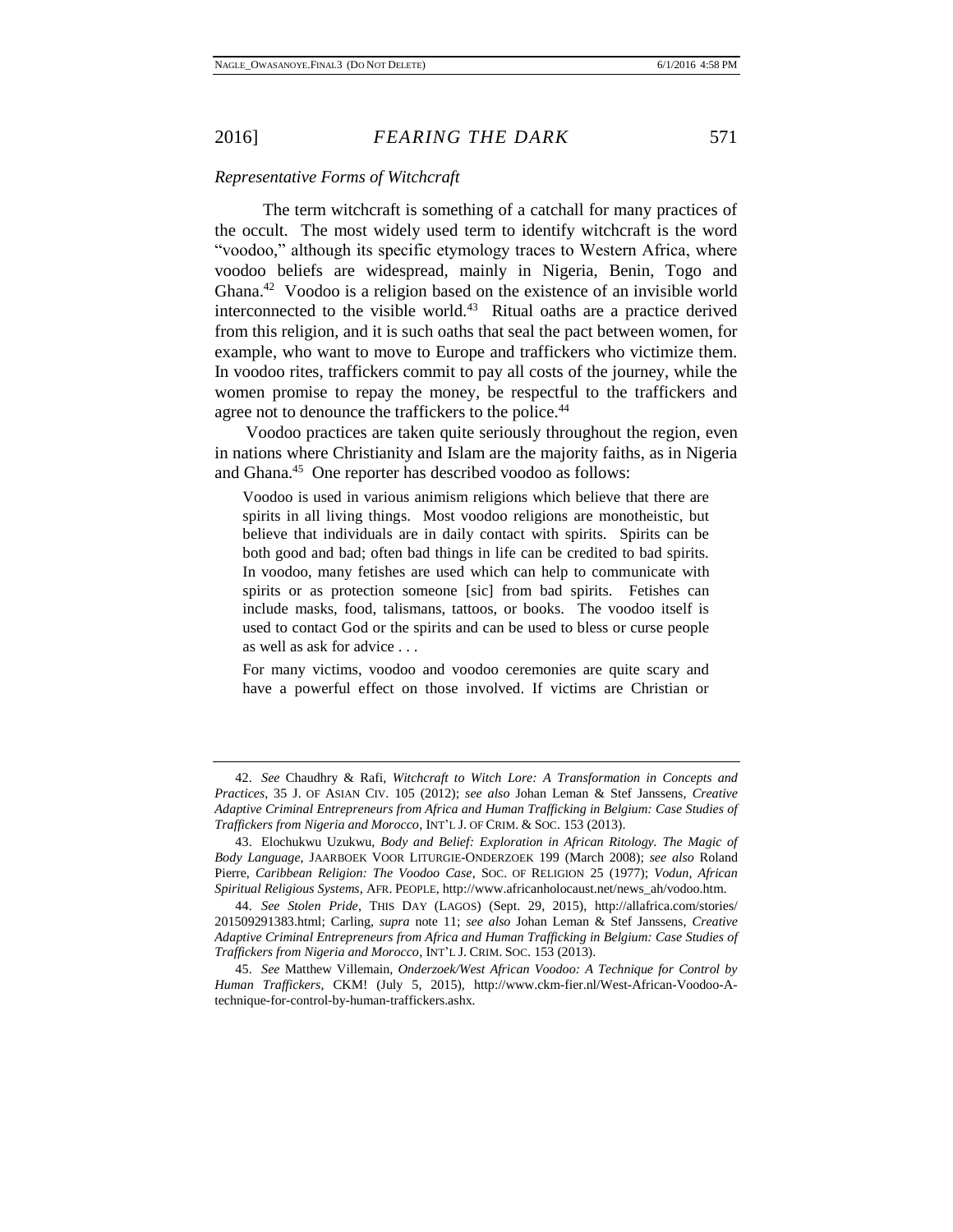#### <span id="page-10-0"></span>*Representative Forms of Witchcraft*

The term witchcraft is something of a catchall for many practices of the occult. The most widely used term to identify witchcraft is the word "voodoo," although its specific etymology traces to Western Africa, where voodoo beliefs are widespread, mainly in Nigeria, Benin, Togo and Ghana.<sup>42</sup> Voodoo is a religion based on the existence of an invisible world interconnected to the visible world.<sup>43</sup> Ritual oaths are a practice derived from this religion, and it is such oaths that seal the pact between women, for example, who want to move to Europe and traffickers who victimize them. In voodoo rites, traffickers commit to pay all costs of the journey, while the women promise to repay the money, be respectful to the traffickers and agree not to denounce the traffickers to the police.<sup>44</sup>

Voodoo practices are taken quite seriously throughout the region, even in nations where Christianity and Islam are the majority faiths, as in Nigeria and Ghana.<sup>45</sup> One reporter has described voodoo as follows:

Voodoo is used in various animism religions which believe that there are spirits in all living things. Most voodoo religions are monotheistic, but believe that individuals are in daily contact with spirits. Spirits can be both good and bad; often bad things in life can be credited to bad spirits. In voodoo, many fetishes are used which can help to communicate with spirits or as protection someone [sic] from bad spirits. Fetishes can include masks, food, talismans, tattoos, or books. The voodoo itself is used to contact God or the spirits and can be used to bless or curse people as well as ask for advice . . .

For many victims, voodoo and voodoo ceremonies are quite scary and have a powerful effect on those involved. If victims are Christian or

<sup>42.</sup> *See* Chaudhry & Rafi, *Witchcraft to Witch Lore: A Transformation in Concepts and Practices*, 35 J. OF ASIAN CIV. 105 (2012); *see also* Johan Leman & Stef Janssens, *Creative Adaptive Criminal Entrepreneurs from Africa and Human Trafficking in Belgium: Case Studies of Traffickers from Nigeria and Morocco*, INT'L J. OF CRIM. & SOC. 153 (2013).

<sup>43.</sup> Elochukwu Uzukwu, *Body and Belief: Exploration in African Ritology. The Magic of Body Language*, JAARBOEK VOOR LITURGIE-ONDERZOEK 199 (March 2008); *see also* Roland Pierre, *Caribbean Religion: The Voodoo Case*, SOC. OF RELIGION 25 (1977); *Vodun, African Spiritual Religious Systems*, AFR. PEOPLE, http://www.africanholocaust.net/news\_ah/vodoo.htm.

<sup>44.</sup> *See Stolen Pride*, THIS DAY (LAGOS) (Sept. 29, 2015), http://allafrica.com/stories/ 201509291383.html; Carling, *supra* note 11; *see also* Johan Leman & Stef Janssens, *Creative Adaptive Criminal Entrepreneurs from Africa and Human Trafficking in Belgium: Case Studies of Traffickers from Nigeria and Morocco*, INT'L J. CRIM. SOC. 153 (2013).

<sup>45.</sup> *See* Matthew Villemain, *Onderzoek/West African Voodoo: A Technique for Control by Human Traffickers*, CKM! (July 5, 2015), http://www.ckm-fier.nl/West-African-Voodoo-Atechnique-for-control-by-human-traffickers.ashx.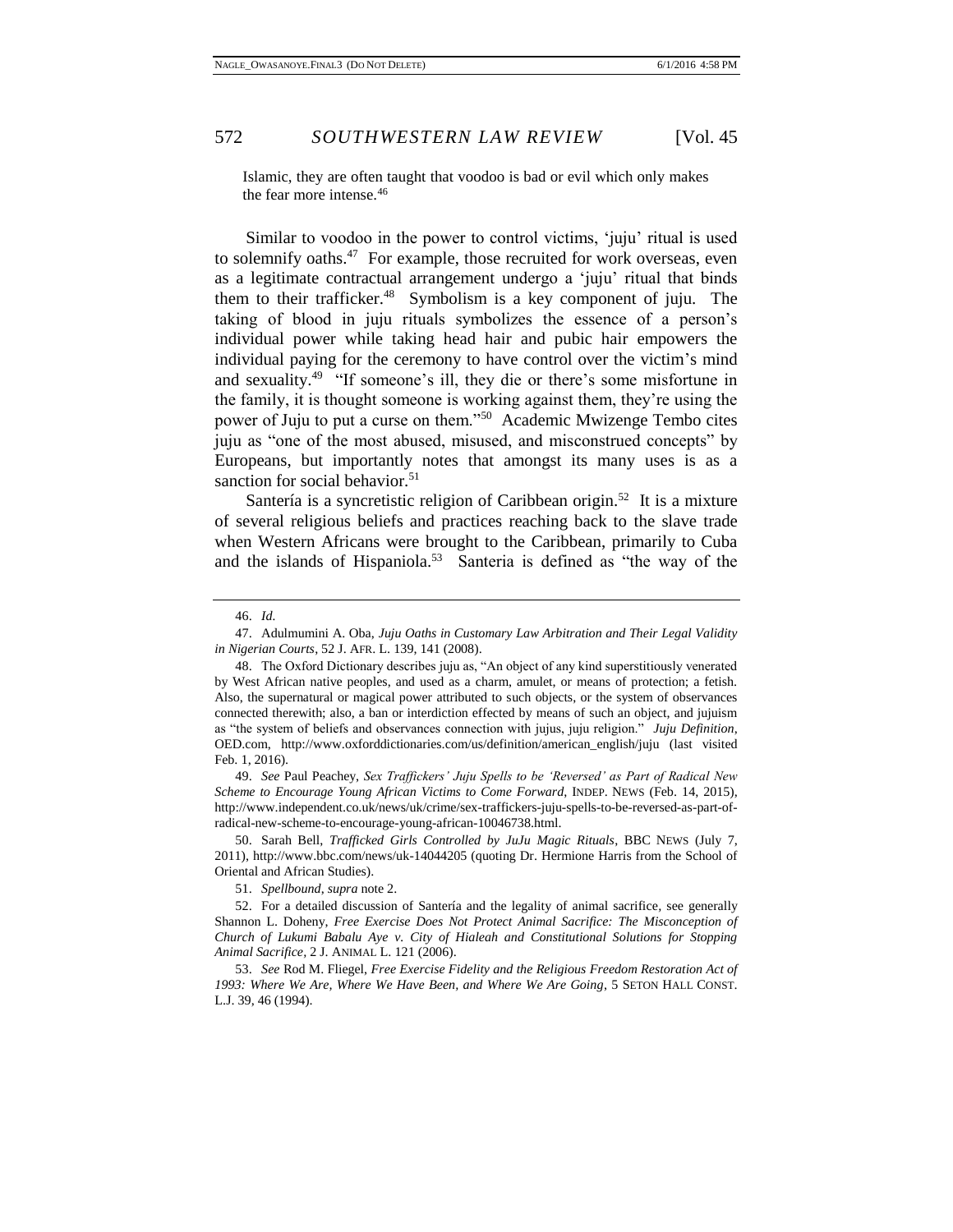Islamic, they are often taught that voodoo is bad or evil which only makes the fear more intense.<sup>46</sup>

Similar to voodoo in the power to control victims, 'juju' ritual is used to solemnify oaths.<sup>47</sup> For example, those recruited for work overseas, even as a legitimate contractual arrangement undergo a 'juju' ritual that binds them to their trafficker.<sup>48</sup> Symbolism is a key component of juju. The taking of blood in juju rituals symbolizes the essence of a person's individual power while taking head hair and pubic hair empowers the individual paying for the ceremony to have control over the victim's mind and sexuality.<sup>49</sup> "If someone's ill, they die or there's some misfortune in the family, it is thought someone is working against them, they're using the power of Juju to put a curse on them."<sup>50</sup> Academic Mwizenge Tembo cites juju as "one of the most abused, misused, and misconstrued concepts" by Europeans, but importantly notes that amongst its many uses is as a sanction for social behavior.<sup>51</sup>

Santería is a syncretistic religion of Caribbean origin.<sup>52</sup> It is a mixture of several religious beliefs and practices reaching back to the slave trade when Western Africans were brought to the Caribbean, primarily to Cuba and the islands of Hispaniola.<sup>53</sup> Santeria is defined as "the way of the

49. *See* Paul Peachey, *Sex Traffickers' Juju Spells to be 'Reversed' as Part of Radical New Scheme to Encourage Young African Victims to Come Forward*, INDEP. NEWS (Feb. 14, 2015), http://www.independent.co.uk/news/uk/crime/sex-traffickers-juju-spells-to-be-reversed-as-part-ofradical-new-scheme-to-encourage-young-african-10046738.html.

50. Sarah Bell, *Trafficked Girls Controlled by JuJu Magic Rituals*, BBC NEWS (July 7, 2011), http://www.bbc.com/news/uk-14044205 (quoting Dr. Hermione Harris from the School of Oriental and African Studies).

51. *Spellbound*, *supra* note 2.

52. For a detailed discussion of Santería and the legality of animal sacrifice*,* see generally Shannon L. Doheny, *Free Exercise Does Not Protect Animal Sacrifice: The Misconception of Church of Lukumi Babalu Aye v. City of Hialeah and Constitutional Solutions for Stopping Animal Sacrifice,* 2 J. ANIMAL L. 121 (2006).

53. *See* Rod M. Fliegel, *Free Exercise Fidelity and the Religious Freedom Restoration Act of 1993: Where We Are, Where We Have Been, and Where We Are Going*, 5 SETON HALL CONST. L.J. 39, 46 (1994).

<sup>46.</sup> *Id.*

<sup>47.</sup> Adulmumini A. Oba, *Juju Oaths in Customary Law Arbitration and Their Legal Validity in Nigerian Courts*, 52 J. AFR. L. 139, 141 (2008).

<sup>48.</sup> The Oxford Dictionary describes juju as, "An object of any kind superstitiously venerated by West African native peoples, and used as a charm, amulet, or means of protection; a fetish. Also, the supernatural or magical power attributed to such objects, or the system of observances connected therewith; also, a ban or interdiction effected by means of such an object, and jujuism as "the system of beliefs and observances connection with jujus, juju religion." *Juju Definition*, OED.com, http://www.oxforddictionaries.com/us/definition/american\_english/juju (last visited Feb. 1, 2016).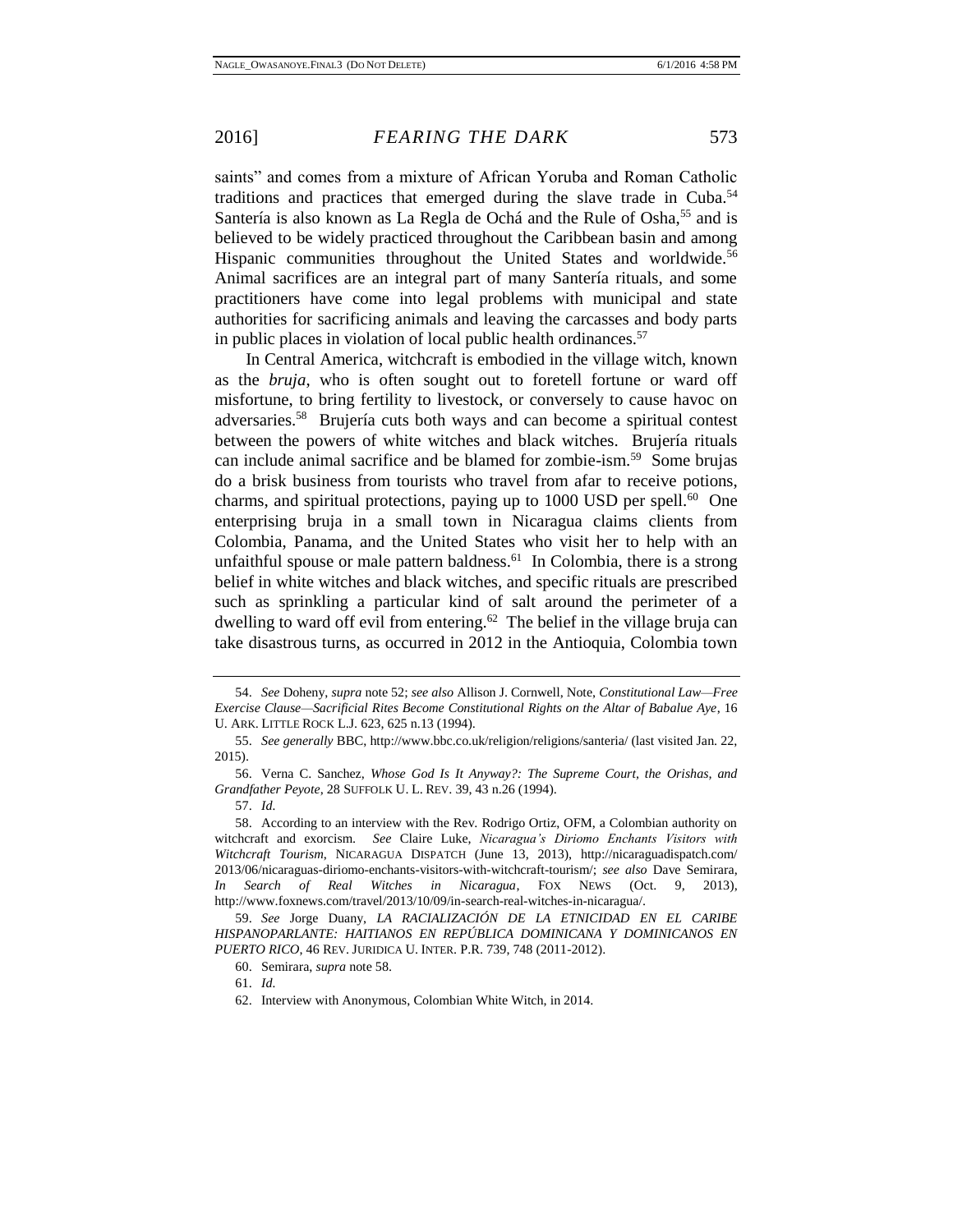saints" and comes from a mixture of African Yoruba and Roman Catholic traditions and practices that emerged during the slave trade in Cuba.<sup>54</sup> Santería is also known as La Regla de Ochá and the Rule of Osha,<sup>55</sup> and is believed to be widely practiced throughout the Caribbean basin and among Hispanic communities throughout the United States and worldwide.<sup>56</sup> Animal sacrifices are an integral part of many Santería rituals, and some practitioners have come into legal problems with municipal and state authorities for sacrificing animals and leaving the carcasses and body parts in public places in violation of local public health ordinances.<sup>57</sup>

In Central America, witchcraft is embodied in the village witch, known as the *bruja*, who is often sought out to foretell fortune or ward off misfortune, to bring fertility to livestock, or conversely to cause havoc on adversaries.<sup>58</sup> Brujería cuts both ways and can become a spiritual contest between the powers of white witches and black witches. Brujería rituals can include animal sacrifice and be blamed for zombie-ism.<sup>59</sup> Some brujas do a brisk business from tourists who travel from afar to receive potions, charms, and spiritual protections, paying up to  $1000$  USD per spell.<sup>60</sup> One enterprising bruja in a small town in Nicaragua claims clients from Colombia, Panama, and the United States who visit her to help with an unfaithful spouse or male pattern baldness.<sup>61</sup> In Colombia, there is a strong belief in white witches and black witches, and specific rituals are prescribed such as sprinkling a particular kind of salt around the perimeter of a dwelling to ward off evil from entering. $62$  The belief in the village bruja can take disastrous turns, as occurred in 2012 in the Antioquia, Colombia town

<sup>54.</sup> *See* Doheny, *supra* note 52; *see also* Allison J. Cornwell, Note, *Constitutional Law—Free Exercise Clause—Sacrificial Rites Become Constitutional Rights on the Altar of Babalue Aye*, 16 U. ARK. LITTLE ROCK L.J. 623, 625 n.13 (1994).

<sup>55.</sup> *See generally* BBC, http://www.bbc.co.uk/religion/religions/santeria/ (last visited Jan. 22, 2015).

<sup>56.</sup> Verna C. Sanchez, *Whose God Is It Anyway?: The Supreme Court, the Orishas, and Grandfather Peyote*, 28 SUFFOLK U. L. REV. 39, 43 n.26 (1994).

<sup>57.</sup> *Id.*

<sup>58.</sup> According to an interview with the Rev. Rodrigo Ortiz, OFM, a Colombian authority on witchcraft and exorcism. *See* Claire Luke, *Nicaragua's Diriomo Enchants Visitors with Witchcraft Tourism*, NICARAGUA DISPATCH (June 13, 2013), http://nicaraguadispatch.com/ 2013/06/nicaraguas-diriomo-enchants-visitors-with-witchcraft-tourism/; *see also* Dave Semirara, *In Search of Real Witches in Nicaragua*, FOX NEWS (Oct. 9, 2013), http://www.foxnews.com/travel/2013/10/09/in-search-real-witches-in-nicaragua/.

<sup>59.</sup> *See* Jorge Duany, *LA RACIALIZACIÓN DE LA ETNICIDAD EN EL CARIBE HISPANOPARLANTE: HAITIANOS EN REPÚBLICA DOMINICANA Y DOMINICANOS EN PUERTO RICO*, 46 REV. JURIDICA U. INTER. P.R. 739, 748 (2011-2012).

<sup>60.</sup> Semirara, *supra* note 58.

<sup>61.</sup> *Id.*

<sup>62.</sup> Interview with Anonymous, Colombian White Witch, in 2014.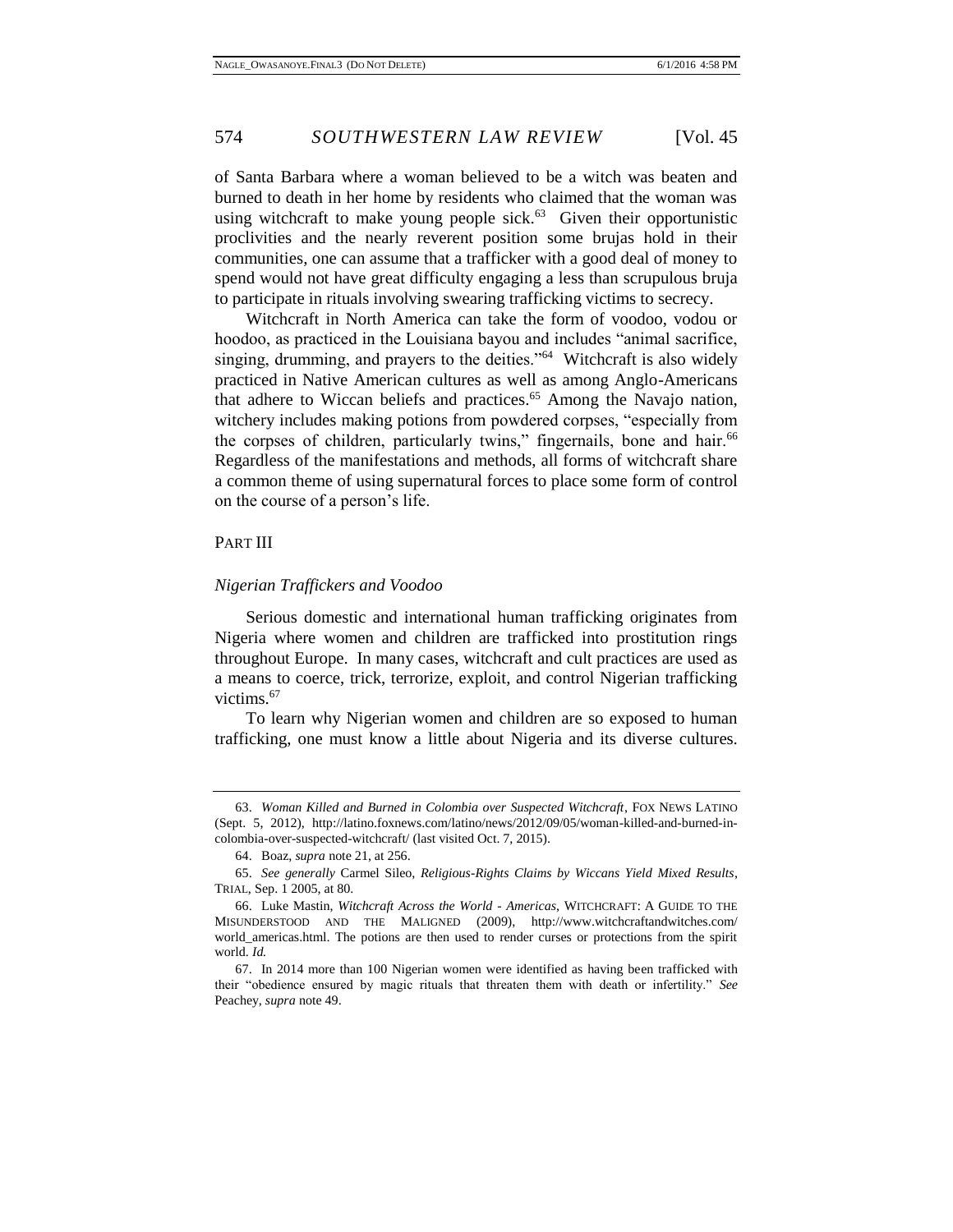of Santa Barbara where a woman believed to be a witch was beaten and burned to death in her home by residents who claimed that the woman was using witchcraft to make young people sick. $63$  Given their opportunistic proclivities and the nearly reverent position some brujas hold in their communities, one can assume that a trafficker with a good deal of money to spend would not have great difficulty engaging a less than scrupulous bruja to participate in rituals involving swearing trafficking victims to secrecy.

Witchcraft in North America can take the form of voodoo, vodou or hoodoo, as practiced in the Louisiana bayou and includes "animal sacrifice, singing, drumming, and prayers to the deities."<sup>64</sup> Witchcraft is also widely practiced in Native American cultures as well as among Anglo-Americans that adhere to Wiccan beliefs and practices.<sup>65</sup> Among the Navajo nation, witchery includes making potions from powdered corpses, "especially from the corpses of children, particularly twins," fingernails, bone and hair.<sup>66</sup> Regardless of the manifestations and methods, all forms of witchcraft share a common theme of using supernatural forces to place some form of control on the course of a person's life.

## <span id="page-13-0"></span>PART III

#### <span id="page-13-1"></span>*Nigerian Traffickers and Voodoo*

Serious domestic and international human trafficking originates from Nigeria where women and children are trafficked into prostitution rings throughout Europe. In many cases, witchcraft and cult practices are used as a means to coerce, trick, terrorize, exploit, and control Nigerian trafficking victims.<sup>67</sup>

To learn why Nigerian women and children are so exposed to human trafficking, one must know a little about Nigeria and its diverse cultures.

<sup>63.</sup> *Woman Killed and Burned in Colombia over Suspected Witchcraft*, FOX NEWS LATINO (Sept. 5, 2012), http://latino.foxnews.com/latino/news/2012/09/05/woman-killed-and-burned-incolombia-over-suspected-witchcraft/ (last visited Oct. 7, 2015).

<sup>64.</sup> Boaz, *supra* note 21, at 256.

<sup>65.</sup> *See generally* Carmel Sileo, *Religious-Rights Claims by Wiccans Yield Mixed Results*, TRIAL, Sep. 1 2005, at 80.

<sup>66.</sup> Luke Mastin, *Witchcraft Across the World - Americas*, WITCHCRAFT: A GUIDE TO THE MISUNDERSTOOD AND THE MALIGNED (2009), http://www.witchcraftandwitches.com/ world\_americas.html. The potions are then used to render curses or protections from the spirit world. *Id.* 

<sup>67.</sup> In 2014 more than 100 Nigerian women were identified as having been trafficked with their "obedience ensured by magic rituals that threaten them with death or infertility." *See* Peachey, *supra* note 49.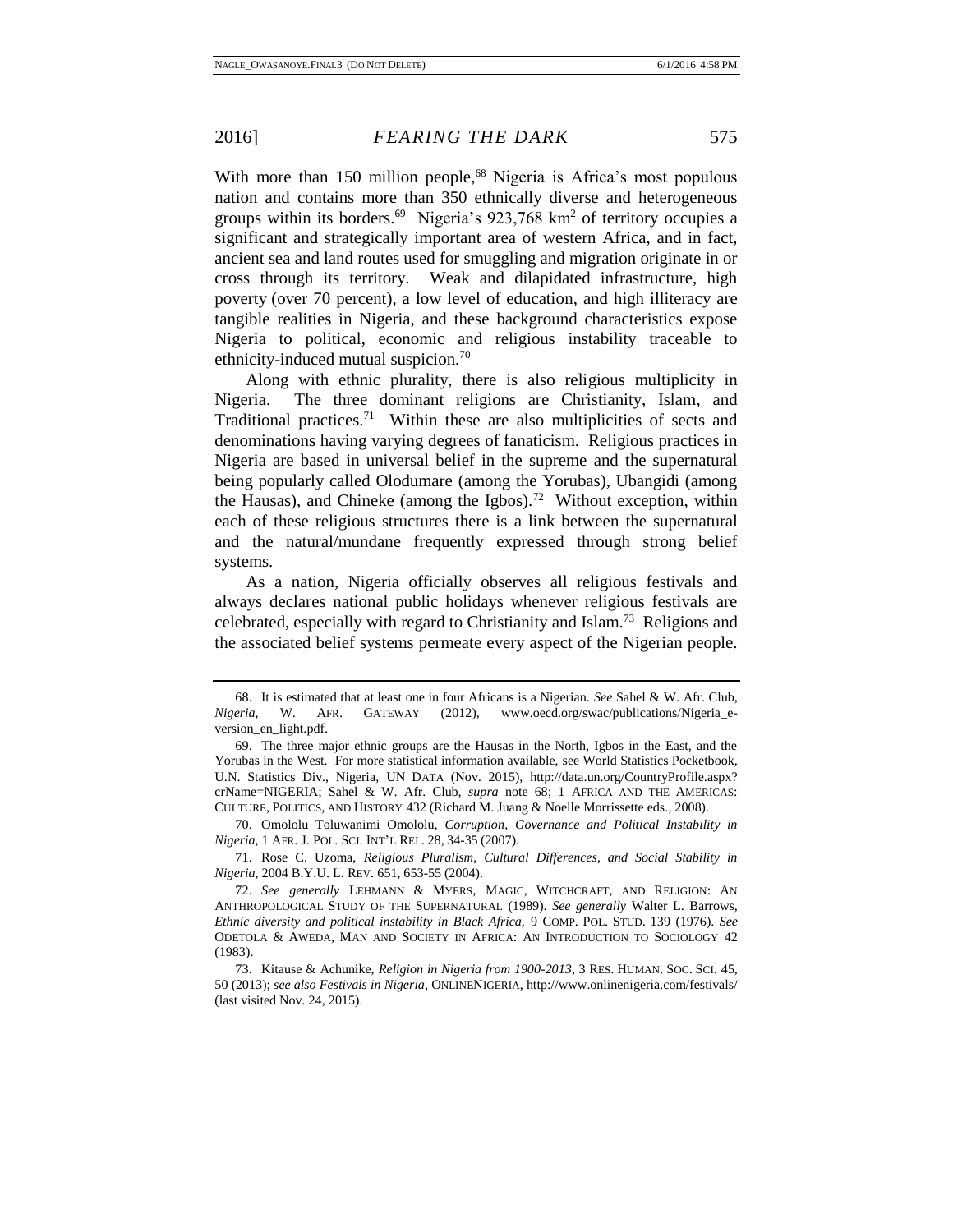With more than 150 million people,<sup>68</sup> Nigeria is Africa's most populous nation and contains more than 350 ethnically diverse and heterogeneous groups within its borders.<sup>69</sup> Nigeria's  $923,768$  km<sup>2</sup> of territory occupies a significant and strategically important area of western Africa, and in fact, ancient sea and land routes used for smuggling and migration originate in or cross through its territory. Weak and dilapidated infrastructure, high poverty (over 70 percent), a low level of education, and high illiteracy are tangible realities in Nigeria, and these background characteristics expose Nigeria to political, economic and religious instability traceable to ethnicity-induced mutual suspicion.<sup>70</sup>

Along with ethnic plurality, there is also religious multiplicity in Nigeria. The three dominant religions are Christianity, Islam, and Traditional practices.<sup>71</sup> Within these are also multiplicities of sects and denominations having varying degrees of fanaticism. Religious practices in Nigeria are based in universal belief in the supreme and the supernatural being popularly called Olodumare (among the Yorubas), Ubangidi (among the Hausas), and Chineke (among the Igbos).<sup>72</sup> Without exception, within each of these religious structures there is a link between the supernatural and the natural/mundane frequently expressed through strong belief systems.

As a nation, Nigeria officially observes all religious festivals and always declares national public holidays whenever religious festivals are celebrated, especially with regard to Christianity and Islam.<sup>73</sup> Religions and the associated belief systems permeate every aspect of the Nigerian people.

70. Omololu Toluwanimi Omololu, *Corruption, Governance and Political Instability in Nigeria*, 1 AFR. J. POL. SCI. INT'L REL. 28, 34-35 (2007).

71. Rose C. Uzoma, *Religious Pluralism, Cultural Differences, and Social Stability in Nigeria*, 2004 B.Y.U. L. REV. 651, 653-55 (2004).

72. *See generally* LEHMANN & MYERS, MAGIC, WITCHCRAFT, AND RELIGION: AN ANTHROPOLOGICAL STUDY OF THE SUPERNATURAL (1989). *See generally* Walter L. Barrows, *Ethnic diversity and political instability in Black Africa,* 9 COMP. POL. STUD. 139 (1976). *See*  ODETOLA & AWEDA, MAN AND SOCIETY IN AFRICA: AN INTRODUCTION TO SOCIOLOGY 42 (1983).

73. Kitause & Achunike, *Religion in Nigeria from 1900-2013*, 3 RES. HUMAN. SOC. SCI. 45, 50 (2013); *see also Festivals in Nigeria*, ONLINENIGERIA, http://www.onlinenigeria.com/festivals/ (last visited Nov. 24, 2015).

<sup>68.</sup> It is estimated that at least one in four Africans is a Nigerian. *See* Sahel & W. Afr. Club, *Nigeria*, W. AFR. GATEWAY (2012), www.oecd.org/swac/publications/Nigeria\_eversion\_en\_light.pdf.

<sup>69.</sup> The three major ethnic groups are the Hausas in the North, Igbos in the East, and the Yorubas in the West. For more statistical information available, see World Statistics Pocketbook, U.N. Statistics Div., Nigeria, UN DATA (Nov. 2015), http://data.un.org/CountryProfile.aspx? crName=NIGERIA; Sahel & W. Afr. Club, *supra* note 68; 1 AFRICA AND THE AMERICAS: CULTURE, POLITICS, AND HISTORY 432 (Richard M. Juang & Noelle Morrissette eds., 2008).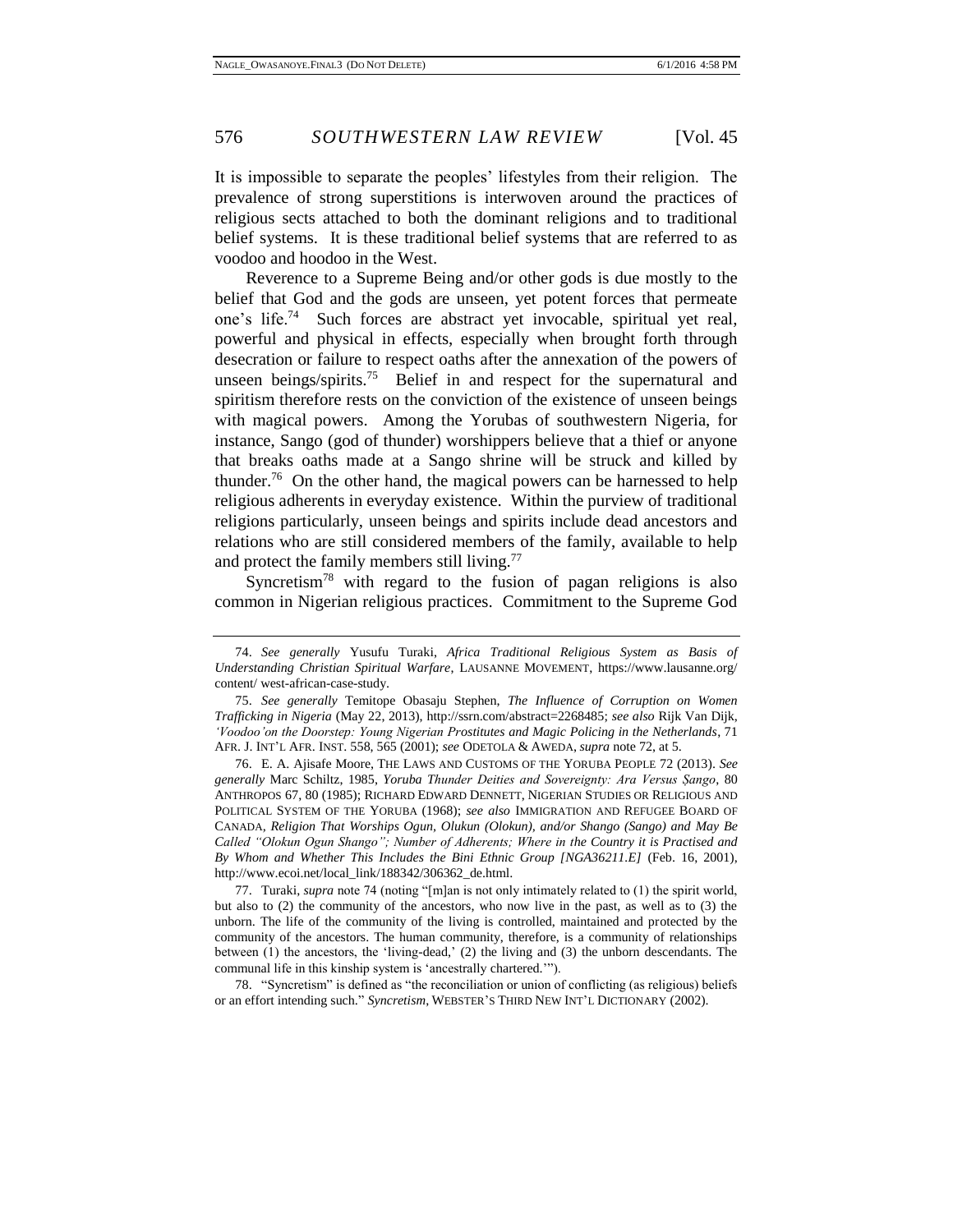It is impossible to separate the peoples' lifestyles from their religion. The prevalence of strong superstitions is interwoven around the practices of religious sects attached to both the dominant religions and to traditional belief systems. It is these traditional belief systems that are referred to as voodoo and hoodoo in the West.

Reverence to a Supreme Being and/or other gods is due mostly to the belief that God and the gods are unseen, yet potent forces that permeate one's life.<sup>74</sup> Such forces are abstract yet invocable, spiritual yet real, powerful and physical in effects, especially when brought forth through desecration or failure to respect oaths after the annexation of the powers of unseen beings/spirits.<sup>75</sup> Belief in and respect for the supernatural and spiritism therefore rests on the conviction of the existence of unseen beings with magical powers. Among the Yorubas of southwestern Nigeria, for instance, Sango (god of thunder) worshippers believe that a thief or anyone that breaks oaths made at a Sango shrine will be struck and killed by thunder.<sup>76</sup> On the other hand, the magical powers can be harnessed to help religious adherents in everyday existence. Within the purview of traditional religions particularly, unseen beings and spirits include dead ancestors and relations who are still considered members of the family, available to help and protect the family members still living.<sup>77</sup>

Syncretism<sup>78</sup> with regard to the fusion of pagan religions is also common in Nigerian religious practices. Commitment to the Supreme God

77. Turaki, *supra* note 74 (noting "[m]an is not only intimately related to (1) the spirit world, but also to (2) the community of the ancestors, who now live in the past, as well as to (3) the unborn. The life of the community of the living is controlled, maintained and protected by the community of the ancestors. The human community, therefore, is a community of relationships between (1) the ancestors, the 'living-dead,' (2) the living and (3) the unborn descendants. The communal life in this kinship system is 'ancestrally chartered.'").

78. "Syncretism" is defined as "the reconciliation or union of conflicting (as religious) beliefs or an effort intending such." *Syncretism*, WEBSTER'S THIRD NEW INT'L DICTIONARY (2002).

<sup>74.</sup> *See generally* Yusufu Turaki, *Africa Traditional Religious System as Basis of Understanding Christian Spiritual Warfare*, LAUSANNE MOVEMENT, https://www.lausanne.org/ content/ west-african-case-study.

<sup>75.</sup> *See generally* Temitope Obasaju Stephen, *The Influence of Corruption on Women Trafficking in Nigeria* (May 22, 2013), http://ssrn.com/abstract=2268485; *see also* Rijk Van Dijk, *'Voodoo'on the Doorstep: Young Nigerian Prostitutes and Magic Policing in the Netherlands*, 71 AFR. J. INT'L AFR. INST. 558, 565 (2001); *see* ODETOLA & AWEDA, *supra* note 72, at 5.

<sup>76.</sup> E. A. Ajisafe Moore, THE LAWS AND CUSTOMS OF THE YORUBA PEOPLE 72 (2013). *See generally* Marc Schiltz, 1985, *Yoruba Thunder Deities and Sovereignty: Ara Versus Ṣango*, 80 ANTHROPOS 67, 80 (1985); RICHARD EDWARD DENNETT, NIGERIAN STUDIES OR RELIGIOUS AND POLITICAL SYSTEM OF THE YORUBA (1968); *see also* IMMIGRATION AND REFUGEE BOARD OF CANADA*, Religion That Worships Ogun, Olukun (Olokun), and/or Shango (Sango) and May Be Called "Olokun Ogun Shango"; Number of Adherents; Where in the Country it is Practised and By Whom and Whether This Includes the Bini Ethnic Group [NGA36211.E]* (Feb. 16, 2001), http://www.ecoi.net/local\_link/188342/306362\_de.html.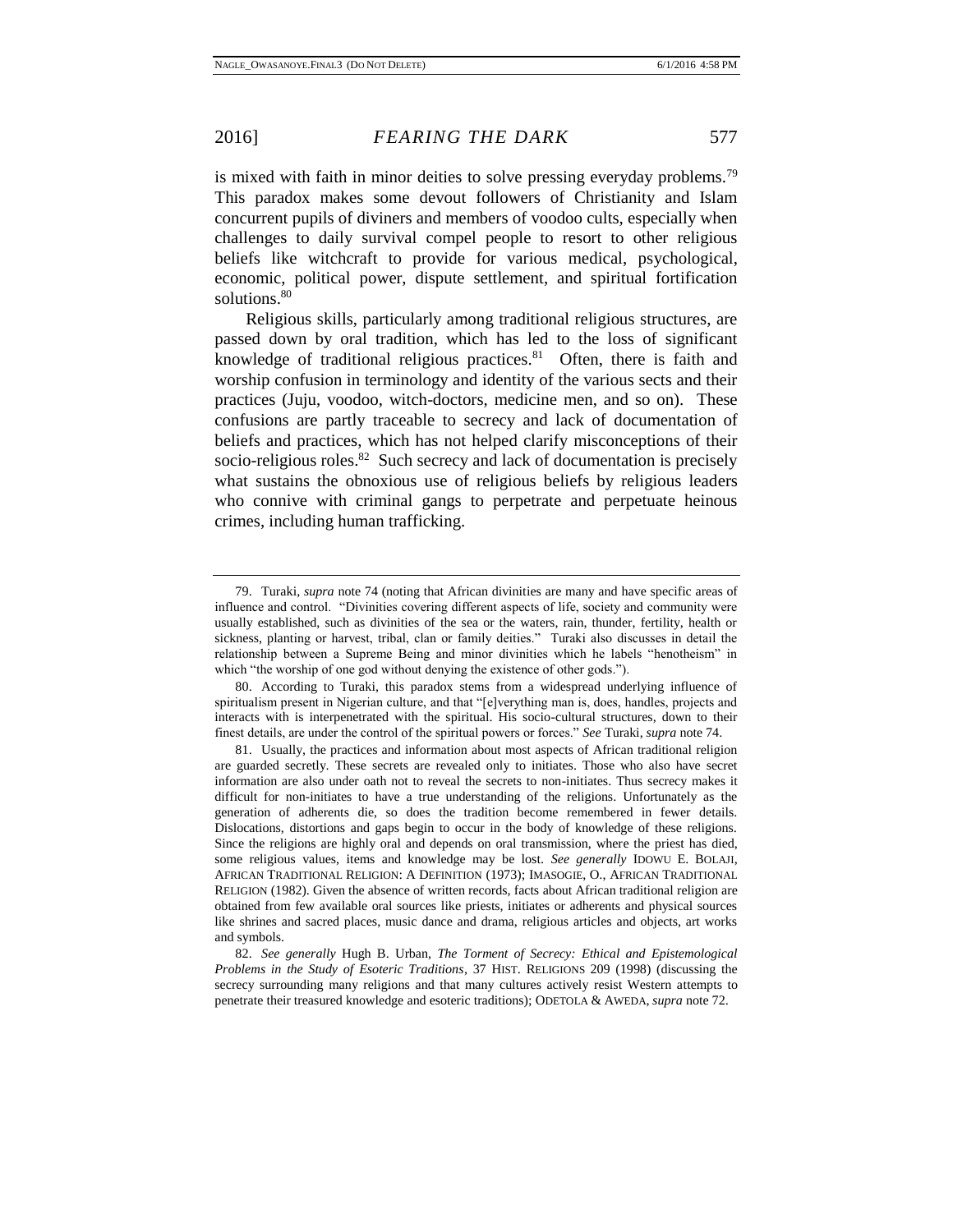is mixed with faith in minor deities to solve pressing everyday problems.<sup>79</sup> This paradox makes some devout followers of Christianity and Islam concurrent pupils of diviners and members of voodoo cults, especially when challenges to daily survival compel people to resort to other religious beliefs like witchcraft to provide for various medical, psychological, economic, political power, dispute settlement, and spiritual fortification solutions.<sup>80</sup>

Religious skills, particularly among traditional religious structures, are passed down by oral tradition, which has led to the loss of significant knowledge of traditional religious practices.<sup>81</sup> Often, there is faith and worship confusion in terminology and identity of the various sects and their practices (Juju, voodoo, witch-doctors, medicine men, and so on). These confusions are partly traceable to secrecy and lack of documentation of beliefs and practices, which has not helped clarify misconceptions of their socio-religious roles.<sup>82</sup> Such secrecy and lack of documentation is precisely what sustains the obnoxious use of religious beliefs by religious leaders who connive with criminal gangs to perpetrate and perpetuate heinous crimes, including human trafficking.

<sup>79.</sup> Turaki, *supra* note 74 (noting that African divinities are many and have specific areas of influence and control. "Divinities covering different aspects of life, society and community were usually established, such as divinities of the sea or the waters, rain, thunder, fertility, health or sickness, planting or harvest, tribal, clan or family deities." Turaki also discusses in detail the relationship between a Supreme Being and minor divinities which he labels "henotheism" in which "the worship of one god without denying the existence of other gods.").

<sup>80.</sup> According to Turaki, this paradox stems from a widespread underlying influence of spiritualism present in Nigerian culture, and that "[e]verything man is, does, handles, projects and interacts with is interpenetrated with the spiritual. His socio-cultural structures, down to their finest details, are under the control of the spiritual powers or forces." *See* Turaki, *supra* note 74.

<sup>81.</sup> Usually, the practices and information about most aspects of African traditional religion are guarded secretly. These secrets are revealed only to initiates. Those who also have secret information are also under oath not to reveal the secrets to non-initiates. Thus secrecy makes it difficult for non-initiates to have a true understanding of the religions. Unfortunately as the generation of adherents die, so does the tradition become remembered in fewer details. Dislocations, distortions and gaps begin to occur in the body of knowledge of these religions. Since the religions are highly oral and depends on oral transmission, where the priest has died, some religious values, items and knowledge may be lost. *See generally* IDOWU E. BOLAJI, AFRICAN TRADITIONAL RELIGION: A DEFINITION (1973); IMASOGIE, O., AFRICAN TRADITIONAL RELIGION (1982). Given the absence of written records, facts about African traditional religion are obtained from few available oral sources like priests, initiates or adherents and physical sources like shrines and sacred places, music dance and drama, religious articles and objects, art works and symbols.

<sup>82.</sup> *See generally* Hugh B. Urban, *The Torment of Secrecy: Ethical and Epistemological Problems in the Study of Esoteric Traditions*, 37 HIST. RELIGIONS 209 (1998) (discussing the secrecy surrounding many religions and that many cultures actively resist Western attempts to penetrate their treasured knowledge and esoteric traditions); ODETOLA & AWEDA, *supra* note 72.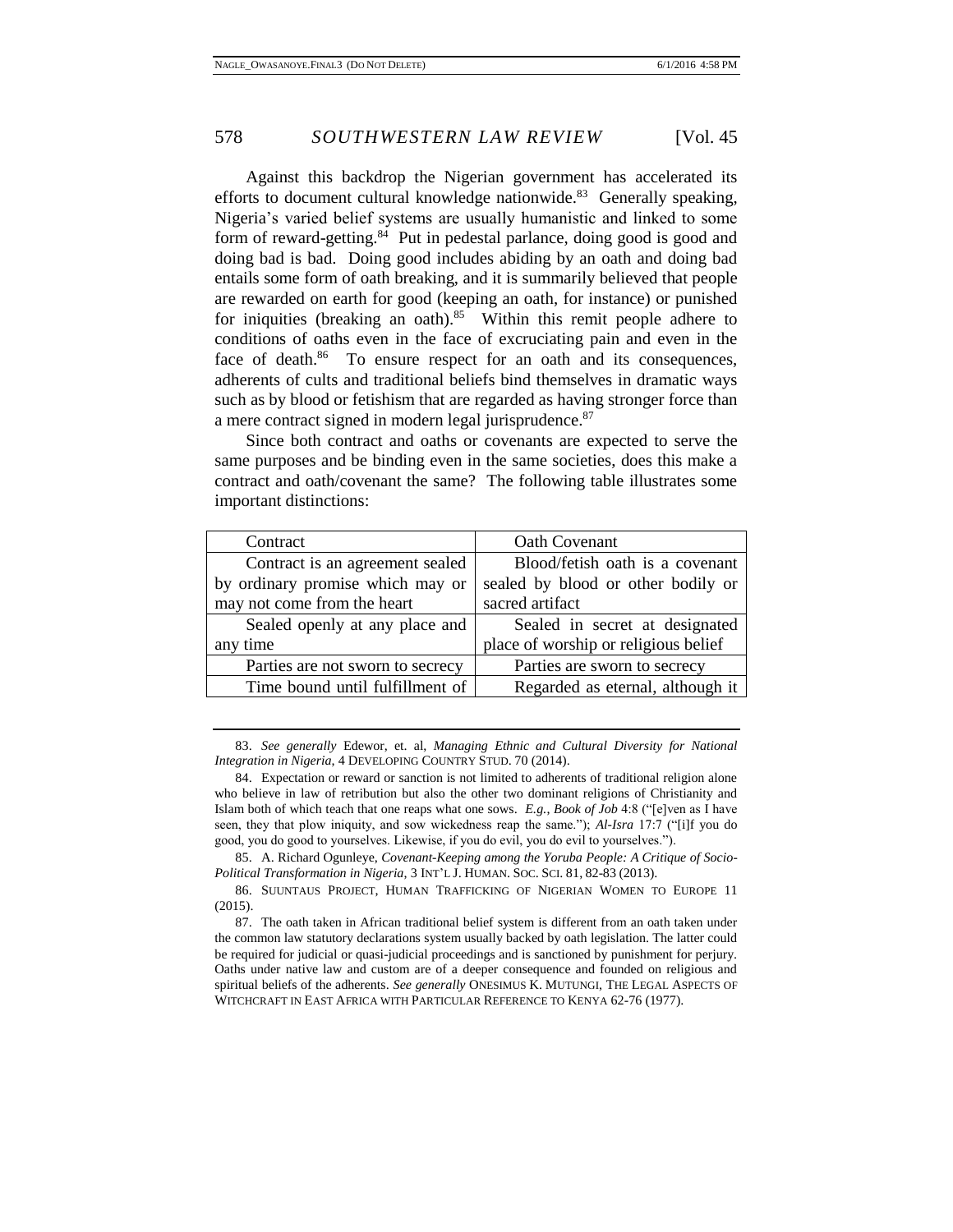Against this backdrop the Nigerian government has accelerated its efforts to document cultural knowledge nationwide.<sup>83</sup> Generally speaking, Nigeria's varied belief systems are usually humanistic and linked to some form of reward-getting.<sup>84</sup> Put in pedestal parlance, doing good is good and doing bad is bad. Doing good includes abiding by an oath and doing bad entails some form of oath breaking, and it is summarily believed that people are rewarded on earth for good (keeping an oath, for instance) or punished for iniquities (breaking an oath). $85$  Within this remit people adhere to conditions of oaths even in the face of excruciating pain and even in the face of death.<sup>86</sup> To ensure respect for an oath and its consequences, adherents of cults and traditional beliefs bind themselves in dramatic ways such as by blood or fetishism that are regarded as having stronger force than a mere contract signed in modern legal jurisprudence.<sup>87</sup>

Since both contract and oaths or covenants are expected to serve the same purposes and be binding even in the same societies, does this make a contract and oath/covenant the same? The following table illustrates some important distinctions:

| Contract                         | <b>Oath Covenant</b>                 |
|----------------------------------|--------------------------------------|
| Contract is an agreement sealed  | Blood/fetish oath is a covenant      |
| by ordinary promise which may or | sealed by blood or other bodily or   |
| may not come from the heart      | sacred artifact                      |
| Sealed openly at any place and   | Sealed in secret at designated       |
| any time                         | place of worship or religious belief |
| Parties are not sworn to secrecy | Parties are sworn to secrecy         |
| Time bound until fulfillment of  | Regarded as eternal, although it     |

83. *See generally* Edewor, et. al, *Managing Ethnic and Cultural Diversity for National Integration in Nigeria*, 4 DEVELOPING COUNTRY STUD. 70 (2014).

84. Expectation or reward or sanction is not limited to adherents of traditional religion alone who believe in law of retribution but also the other two dominant religions of Christianity and Islam both of which teach that one reaps what one sows. *E.g.*, *Book of Job* 4:8 ("[e]ven as I have seen, they that plow iniquity, and sow wickedness reap the same."); *Al-Isra* 17:7 ("[i]f you do good, you do good to yourselves. Likewise, if you do evil, you do evil to yourselves.").

85. A. Richard Ogunleye, *Covenant-Keeping among the Yoruba People: A Critique of Socio-Political Transformation in Nigeria*, 3 INT'L J. HUMAN. SOC. SCI. 81, 82-83 (2013).

86. SUUNTAUS PROJECT, HUMAN TRAFFICKING OF NIGERIAN WOMEN TO EUROPE 11 (2015).

87. The oath taken in African traditional belief system is different from an oath taken under the common law statutory declarations system usually backed by oath legislation. The latter could be required for judicial or quasi-judicial proceedings and is sanctioned by punishment for perjury. Oaths under native law and custom are of a deeper consequence and founded on religious and spiritual beliefs of the adherents. *See generally* ONESIMUS K. MUTUNGI, THE LEGAL ASPECTS OF WITCHCRAFT IN EAST AFRICA WITH PARTICULAR REFERENCE TO KENYA 62-76 (1977).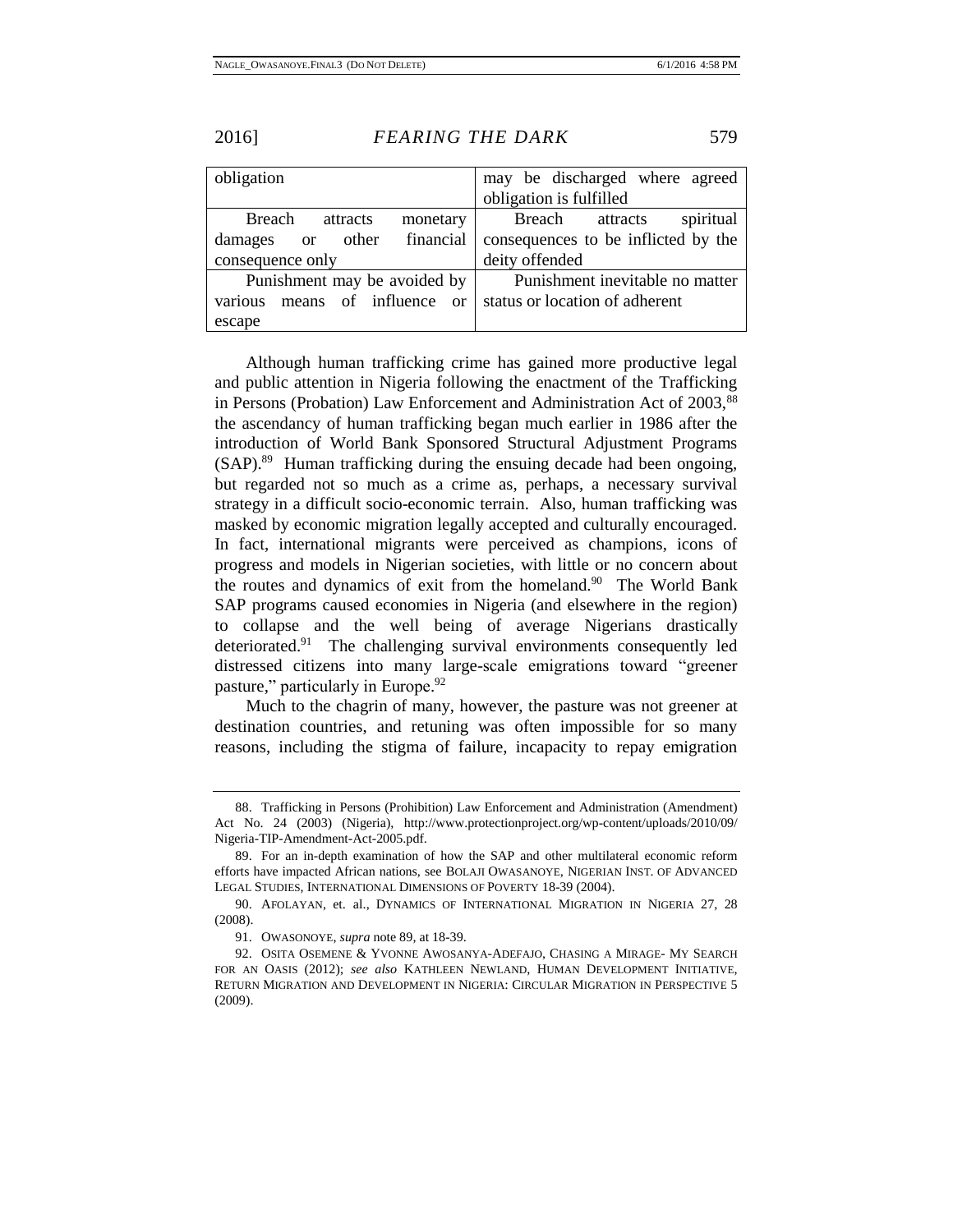| obligation                       | may be discharged where agreed      |
|----------------------------------|-------------------------------------|
|                                  | obligation is fulfilled             |
| Breach<br>attracts<br>monetary   | spiritual<br>Breach<br>attracts     |
| other financial<br>damages or    | consequences to be inflicted by the |
| consequence only                 | deity offended                      |
| Punishment may be avoided by     | Punishment inevitable no matter     |
| means of influence or<br>various | status or location of adherent      |
| escape                           |                                     |

Although human trafficking crime has gained more productive legal and public attention in Nigeria following the enactment of the Trafficking in Persons (Probation) Law Enforcement and Administration Act of 2003,<sup>88</sup> the ascendancy of human trafficking began much earlier in 1986 after the introduction of World Bank Sponsored Structural Adjustment Programs (SAP).<sup>89</sup> Human trafficking during the ensuing decade had been ongoing, but regarded not so much as a crime as, perhaps, a necessary survival strategy in a difficult socio-economic terrain. Also, human trafficking was masked by economic migration legally accepted and culturally encouraged. In fact, international migrants were perceived as champions, icons of progress and models in Nigerian societies, with little or no concern about the routes and dynamics of exit from the homeland. $90$  The World Bank SAP programs caused economies in Nigeria (and elsewhere in the region) to collapse and the well being of average Nigerians drastically deteriorated.<sup>91</sup> The challenging survival environments consequently led distressed citizens into many large-scale emigrations toward "greener pasture," particularly in Europe.<sup>92</sup>

Much to the chagrin of many, however, the pasture was not greener at destination countries, and retuning was often impossible for so many reasons, including the stigma of failure, incapacity to repay emigration

<sup>88.</sup> Trafficking in Persons (Prohibition) Law Enforcement and Administration (Amendment) Act No. 24 (2003) (Nigeria), http://www.protectionproject.org/wp-content/uploads/2010/09/ Nigeria-TIP-Amendment-Act-2005.pdf.

<sup>89.</sup> For an in-depth examination of how the SAP and other multilateral economic reform efforts have impacted African nations, see BOLAJI OWASANOYE, NIGERIAN INST. OF ADVANCED LEGAL STUDIES, INTERNATIONAL DIMENSIONS OF POVERTY 18-39 (2004).

<sup>90.</sup> AFOLAYAN, et. al., DYNAMICS OF INTERNATIONAL MIGRATION IN NIGERIA 27, 28 (2008).

<sup>91.</sup> OWASONOYE, *supra* note 89, at 18-39.

<sup>92.</sup> OSITA OSEMENE & YVONNE AWOSANYA-ADEFAJO, CHASING A MIRAGE- MY SEARCH FOR AN OASIS (2012); *see also* KATHLEEN NEWLAND, HUMAN DEVELOPMENT INITIATIVE, RETURN MIGRATION AND DEVELOPMENT IN NIGERIA: CIRCULAR MIGRATION IN PERSPECTIVE 5 (2009).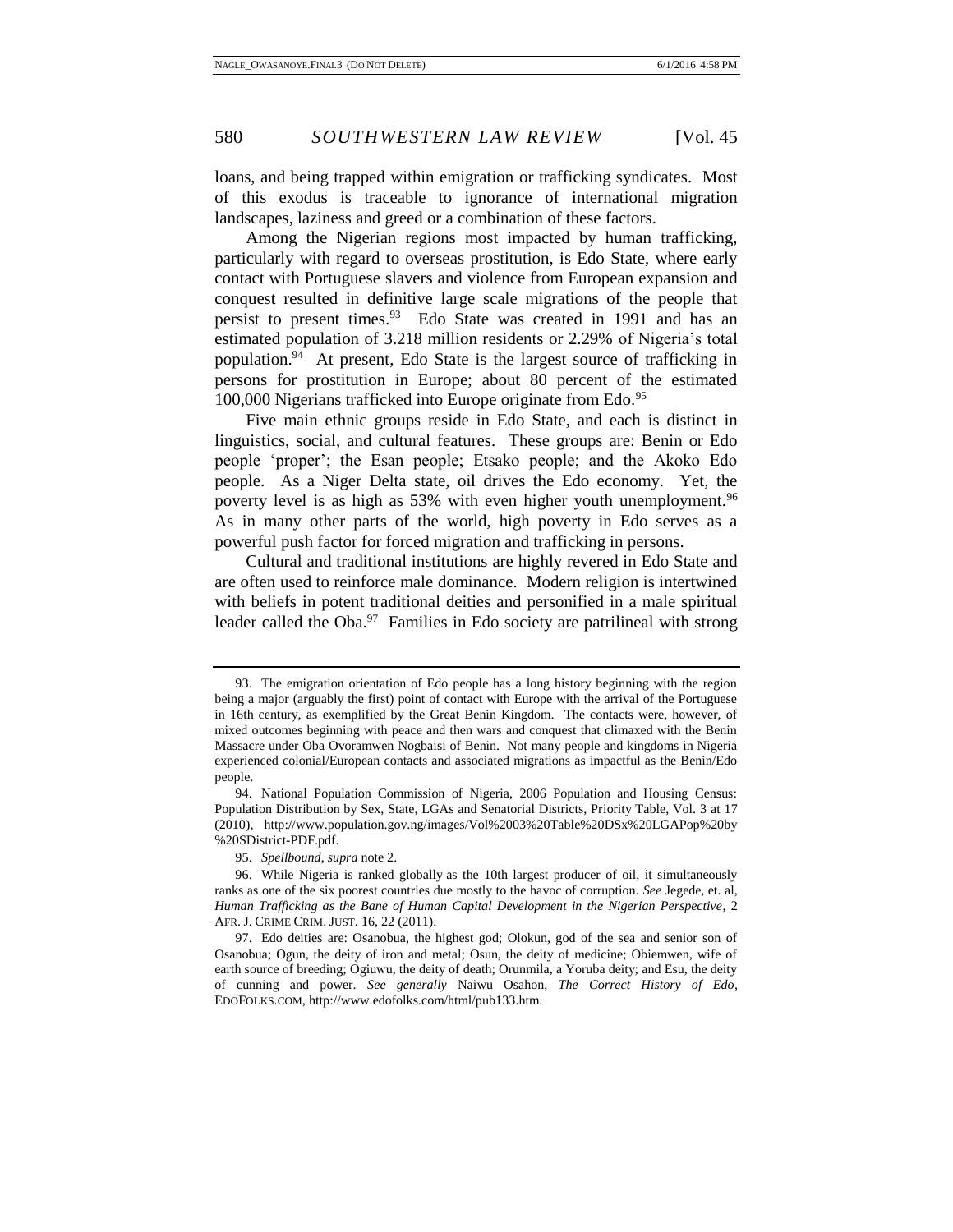loans, and being trapped within emigration or trafficking syndicates. Most of this exodus is traceable to ignorance of international migration landscapes, laziness and greed or a combination of these factors.

Among the Nigerian regions most impacted by human trafficking, particularly with regard to overseas prostitution, is Edo State, where early contact with Portuguese slavers and violence from European expansion and conquest resulted in definitive large scale migrations of the people that persist to present times.<sup>93</sup> Edo State was created in 1991 and has an estimated population of 3.218 million residents or 2.29% of Nigeria's total population. 94 At present, Edo State is the largest source of trafficking in persons for prostitution in Europe; about 80 percent of the estimated 100,000 Nigerians trafficked into Europe originate from Edo.<sup>95</sup>

Five main ethnic groups reside in Edo State, and each is distinct in linguistics, social, and cultural features. These groups are: Benin or Edo people 'proper'; the Esan people; Etsako people; and the Akoko Edo people. As a Niger Delta state, oil drives the Edo economy. Yet, the poverty level is as high as 53% with even higher youth unemployment.<sup>96</sup> As in many other parts of the world, high poverty in Edo serves as a powerful push factor for forced migration and trafficking in persons.

Cultural and traditional institutions are highly revered in Edo State and are often used to reinforce male dominance. Modern religion is intertwined with beliefs in potent traditional deities and personified in a male spiritual leader called the Oba.<sup>97</sup> Families in Edo society are patrilineal with strong

<sup>93.</sup> The emigration orientation of Edo people has a long history beginning with the region being a major (arguably the first) point of contact with Europe with the arrival of the Portuguese in 16th century, as exemplified by the Great Benin Kingdom. The contacts were, however, of mixed outcomes beginning with peace and then wars and conquest that climaxed with the Benin Massacre under Oba Ovoramwen Nogbaisi of Benin. Not many people and kingdoms in Nigeria experienced colonial/European contacts and associated migrations as impactful as the Benin/Edo people.

<sup>94.</sup> National Population Commission of Nigeria, 2006 Population and Housing Census: Population Distribution by Sex, State, LGAs and Senatorial Districts, Priority Table, Vol. 3 at 17 (2010), http://www.population.gov.ng/images/Vol%2003%20Table%20DSx%20LGAPop%20by %20SDistrict-PDF.pdf.

<sup>95.</sup> *Spellbound*, *supra* note 2.

<sup>96.</sup> While Nigeria is ranked globally as the 10th largest producer of oil, it simultaneously ranks as one of the six poorest countries due mostly to the havoc of corruption. *See* Jegede, et. al, *Human Trafficking as the Bane of Human Capital Development in the Nigerian Perspective*, 2 AFR. J. CRIME CRIM. JUST. 16, 22 (2011).

<sup>97.</sup> Edo deities are: Osanobua, the highest god; Olokun, god of the sea and senior son of Osanobua; Ogun, the deity of iron and metal; Osun, the deity of medicine; Obiemwen, wife of earth source of breeding; Ogiuwu, the deity of death; Orunmila, a Yoruba deity; and Esu, the deity of cunning and power. *See generally* Naiwu Osahon, *The Correct History of Edo*, EDOFOLKS.COM, http://www.edofolks.com/html/pub133.htm.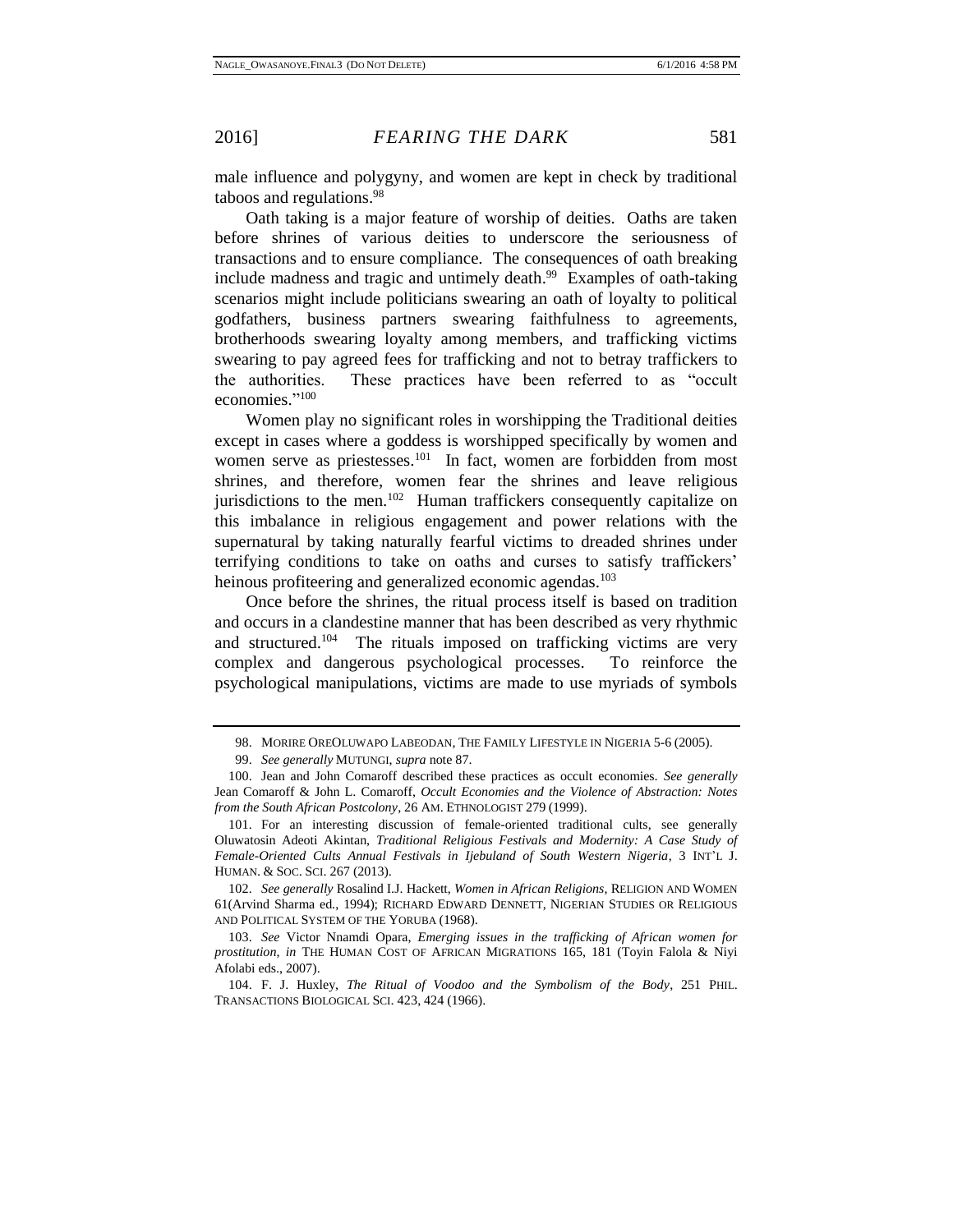male influence and polygyny, and women are kept in check by traditional taboos and regulations. 98

Oath taking is a major feature of worship of deities. Oaths are taken before shrines of various deities to underscore the seriousness of transactions and to ensure compliance. The consequences of oath breaking include madness and tragic and untimely death. 99 Examples of oath-taking scenarios might include politicians swearing an oath of loyalty to political godfathers, business partners swearing faithfulness to agreements, brotherhoods swearing loyalty among members, and trafficking victims swearing to pay agreed fees for trafficking and not to betray traffickers to the authorities. These practices have been referred to as "occult economies." 100

Women play no significant roles in worshipping the Traditional deities except in cases where a goddess is worshipped specifically by women and women serve as priestesses.<sup>101</sup> In fact, women are forbidden from most shrines, and therefore, women fear the shrines and leave religious jurisdictions to the men.<sup>102</sup> Human traffickers consequently capitalize on this imbalance in religious engagement and power relations with the supernatural by taking naturally fearful victims to dreaded shrines under terrifying conditions to take on oaths and curses to satisfy traffickers' heinous profiteering and generalized economic agendas.<sup>103</sup>

Once before the shrines, the ritual process itself is based on tradition and occurs in a clandestine manner that has been described as very rhythmic and structured.<sup>104</sup> The rituals imposed on trafficking victims are very complex and dangerous psychological processes. To reinforce the psychological manipulations, victims are made to use myriads of symbols

102. *See generally* Rosalind I.J. Hackett, *Women in African Religions*, RELIGION AND WOMEN 61(Arvind Sharma ed., 1994); RICHARD EDWARD DENNETT, NIGERIAN STUDIES OR RELIGIOUS AND POLITICAL SYSTEM OF THE YORUBA (1968).

103. *See* Victor Nnamdi Opara, *Emerging issues in the trafficking of African women for prostitution*, *in* THE HUMAN COST OF AFRICAN MIGRATIONS 165, 181 (Toyin Falola & Niyi Afolabi eds., 2007).

<sup>98.</sup> MORIRE OREOLUWAPO LABEODAN, THE FAMILY LIFESTYLE IN NIGERIA 5-6 (2005).

<sup>99.</sup> *See generally* MUTUNGI, *supra* note 87.

<sup>100.</sup> Jean and John Comaroff described these practices as occult economies. *See generally* Jean Comaroff & John L. Comaroff, *Occult Economies and the Violence of Abstraction: Notes from the South African Postcolony*, 26 AM. ETHNOLOGIST 279 (1999).

<sup>101.</sup> For an interesting discussion of female-oriented traditional cults, see generally Oluwatosin Adeoti Akintan, *Traditional Religious Festivals and Modernity: A Case Study of Female-Oriented Cults Annual Festivals in Ijebuland of South Western Nigeria*, 3 INT'L J. HUMAN. & SOC. SCI. 267 (2013).

<sup>104.</sup> F. J. Huxley, *The Ritual of Voodoo and the Symbolism of the Body*, 251 PHIL. TRANSACTIONS BIOLOGICAL SCI. 423, 424 (1966).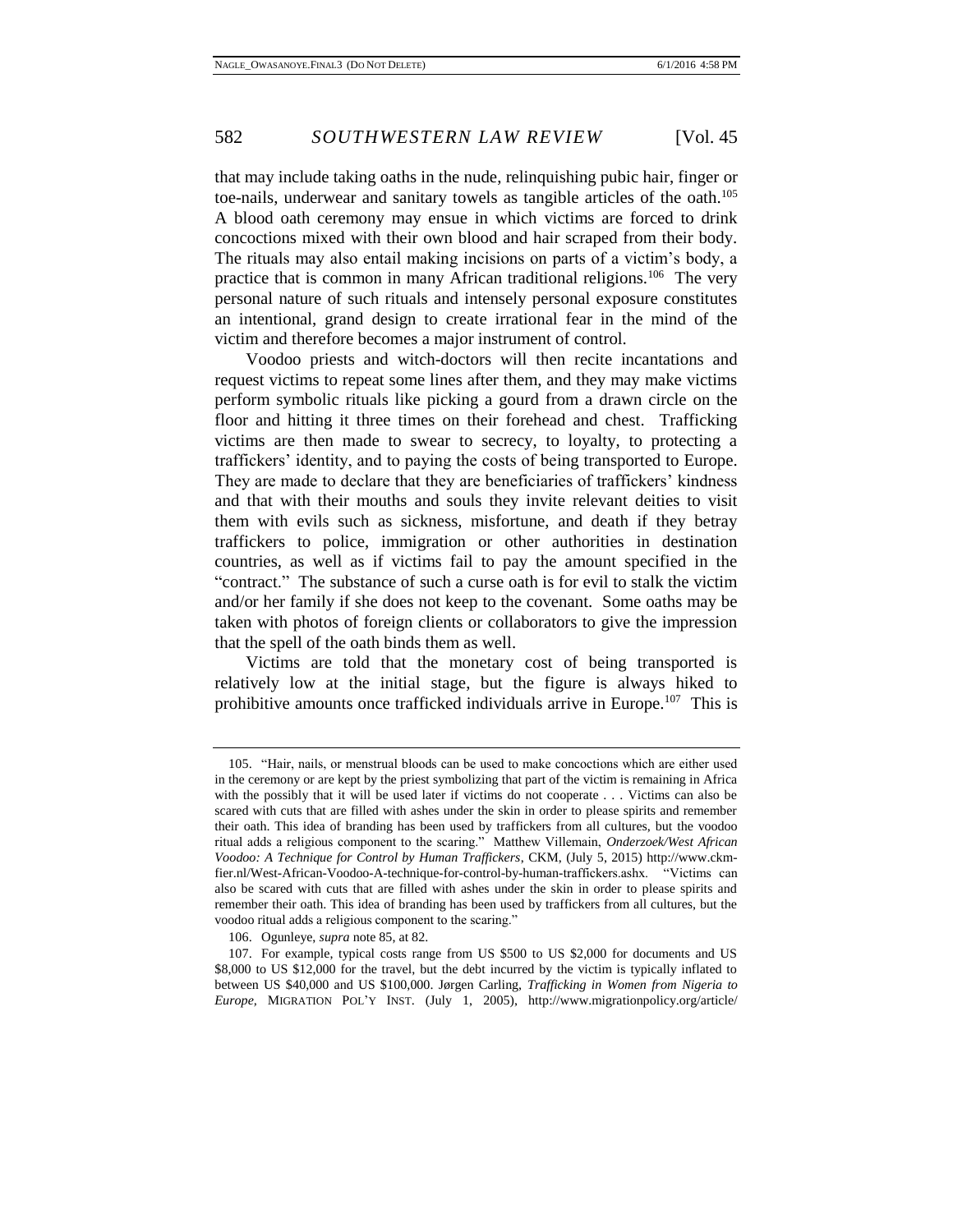that may include taking oaths in the nude, relinquishing pubic hair, finger or toe-nails, underwear and sanitary towels as tangible articles of the oath.<sup>105</sup> A blood oath ceremony may ensue in which victims are forced to drink concoctions mixed with their own blood and hair scraped from their body. The rituals may also entail making incisions on parts of a victim's body, a practice that is common in many African traditional religions.<sup>106</sup> The very personal nature of such rituals and intensely personal exposure constitutes an intentional, grand design to create irrational fear in the mind of the victim and therefore becomes a major instrument of control.

Voodoo priests and witch-doctors will then recite incantations and request victims to repeat some lines after them, and they may make victims perform symbolic rituals like picking a gourd from a drawn circle on the floor and hitting it three times on their forehead and chest. Trafficking victims are then made to swear to secrecy, to loyalty, to protecting a traffickers' identity, and to paying the costs of being transported to Europe. They are made to declare that they are beneficiaries of traffickers' kindness and that with their mouths and souls they invite relevant deities to visit them with evils such as sickness, misfortune, and death if they betray traffickers to police, immigration or other authorities in destination countries, as well as if victims fail to pay the amount specified in the "contract." The substance of such a curse oath is for evil to stalk the victim and/or her family if she does not keep to the covenant. Some oaths may be taken with photos of foreign clients or collaborators to give the impression that the spell of the oath binds them as well.

Victims are told that the monetary cost of being transported is relatively low at the initial stage, but the figure is always hiked to prohibitive amounts once trafficked individuals arrive in Europe.<sup>107</sup> This is

<sup>105.</sup> "Hair, nails, or menstrual bloods can be used to make concoctions which are either used in the ceremony or are kept by the priest symbolizing that part of the victim is remaining in Africa with the possibly that it will be used later if victims do not cooperate . . . Victims can also be scared with cuts that are filled with ashes under the skin in order to please spirits and remember their oath. This idea of branding has been used by traffickers from all cultures, but the voodoo ritual adds a religious component to the scaring." Matthew Villemain, *Onderzoek/West African Voodoo: A Technique for Control by Human Traffickers*, CKM, (July 5, 2015) http://www.ckmfier.nl/West-African-Voodoo-A-technique-for-control-by-human-traffickers.ashx. "Victims can also be scared with cuts that are filled with ashes under the skin in order to please spirits and remember their oath. This idea of branding has been used by traffickers from all cultures, but the voodoo ritual adds a religious component to the scaring."

<sup>106.</sup> Ogunleye, *supra* note 85, at 82.

<sup>107.</sup> For example, typical costs range from US \$500 to US \$2,000 for documents and US \$8,000 to US \$12,000 for the travel, but the debt incurred by the victim is typically inflated to between US \$40,000 and US \$100,000. Jørgen Carling, *Trafficking in Women from Nigeria to Europe,* MIGRATION POL'Y INST. (July 1, 2005), http://www.migrationpolicy.org/article/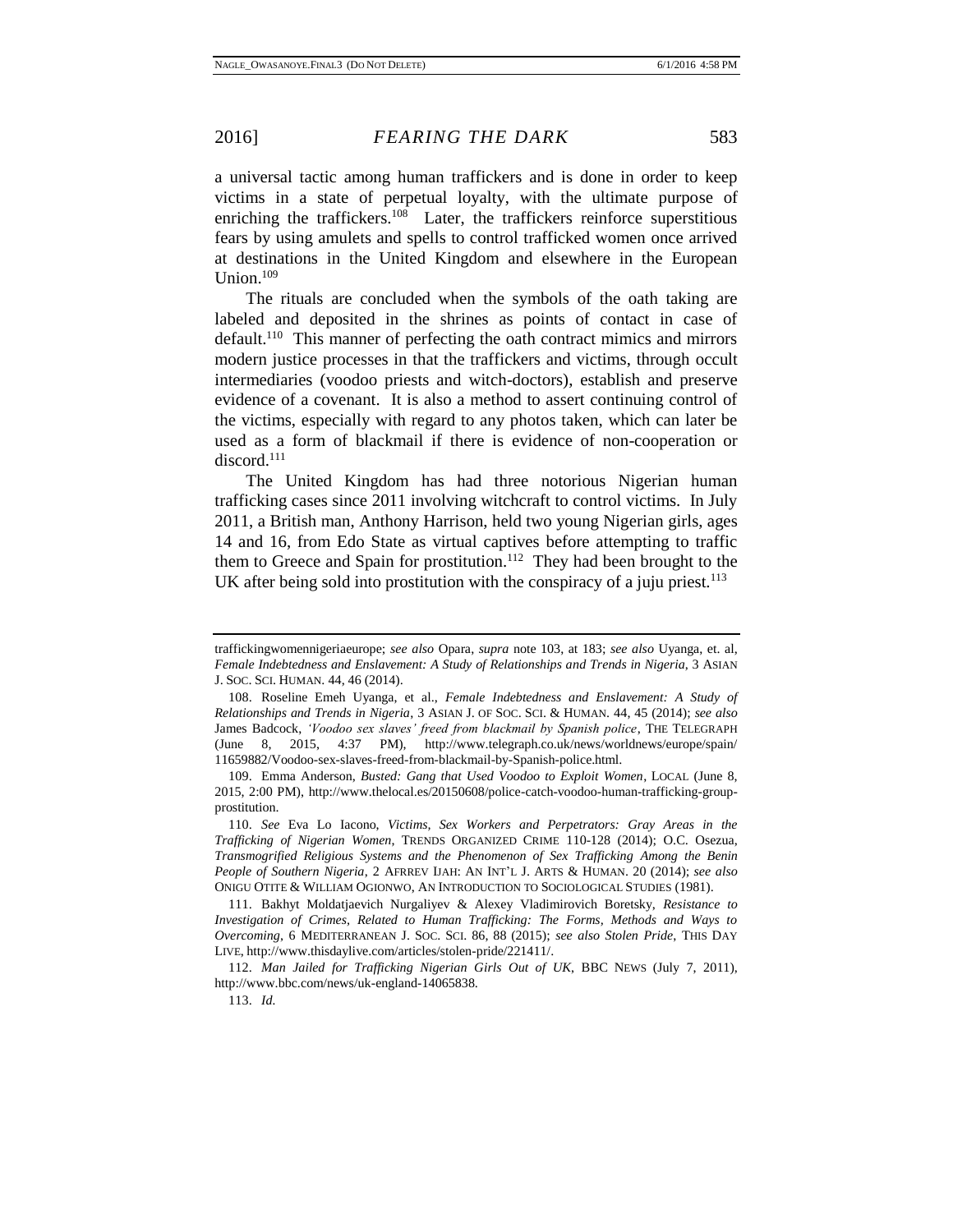a universal tactic among human traffickers and is done in order to keep victims in a state of perpetual loyalty, with the ultimate purpose of enriching the traffickers.<sup>108</sup> Later, the traffickers reinforce superstitious fears by using amulets and spells to control trafficked women once arrived at destinations in the United Kingdom and elsewhere in the European Union. $109$ 

The rituals are concluded when the symbols of the oath taking are labeled and deposited in the shrines as points of contact in case of default.<sup>110</sup> This manner of perfecting the oath contract mimics and mirrors modern justice processes in that the traffickers and victims, through occult intermediaries (voodoo priests and witch-doctors), establish and preserve evidence of a covenant. It is also a method to assert continuing control of the victims, especially with regard to any photos taken, which can later be used as a form of blackmail if there is evidence of non-cooperation or discord.<sup>111</sup>

The United Kingdom has had three notorious Nigerian human trafficking cases since 2011 involving witchcraft to control victims. In July 2011, a British man, Anthony Harrison, held two young Nigerian girls, ages 14 and 16, from Edo State as virtual captives before attempting to traffic them to Greece and Spain for prostitution.<sup>112</sup> They had been brought to the UK after being sold into prostitution with the conspiracy of a juju priest.<sup>113</sup>

traffickingwomennigeriaeurope; *see also* Opara, *supra* note 103, at 183; *see also* Uyanga, et. al, *Female Indebtedness and Enslavement: A Study of Relationships and Trends in Nigeria*, 3 ASIAN J. SOC. SCI. HUMAN. 44, 46 (2014).

<sup>108.</sup> Roseline Emeh Uyanga, et al., *Female Indebtedness and Enslavement: A Study of Relationships and Trends in Nigeria*, 3 ASIAN J. OF SOC. SCI. & HUMAN. 44, 45 (2014); *see also* James Badcock, *'Voodoo sex slaves' freed from blackmail by Spanish police*, THE TELEGRAPH (June 8, 2015, 4:37 PM), http://www.telegraph.co.uk/news/worldnews/europe/spain/ 11659882/Voodoo-sex-slaves-freed-from-blackmail-by-Spanish-police.html.

<sup>109.</sup> Emma Anderson, *Busted: Gang that Used Voodoo to Exploit Women*, LOCAL (June 8, 2015, 2:00 PM), http://www.thelocal.es/20150608/police-catch-voodoo-human-trafficking-groupprostitution.

<sup>110.</sup> *See* Eva Lo Iacono, *Victims, Sex Workers and Perpetrators: Gray Areas in the Trafficking of Nigerian Women*, TRENDS ORGANIZED CRIME 110-128 (2014); O.C. Osezua, *Transmogrified Religious Systems and the Phenomenon of Sex Trafficking Among the Benin People of Southern Nigeria*, 2 AFRREV IJAH: AN INT'L J. ARTS & HUMAN. 20 (2014); *see also* ONIGU OTITE & WILLIAM OGIONWO, AN INTRODUCTION TO SOCIOLOGICAL STUDIES (1981).

<sup>111.</sup> Bakhyt Moldatjaevich Nurgaliyev & Alexey Vladimirovich Boretsky, *Resistance to Investigation of Crimes, Related to Human Trafficking: The Forms, Methods and Ways to Overcoming*, 6 MEDITERRANEAN J. SOC. SCI. 86, 88 (2015); *see also Stolen Pride*, THIS DAY LIVE, http://www.thisdaylive.com/articles/stolen-pride/221411/.

<sup>112.</sup> *Man Jailed for Trafficking Nigerian Girls Out of UK*, BBC NEWS (July 7, 2011), http://www.bbc.com/news/uk-england-14065838.

<sup>113.</sup> *Id.*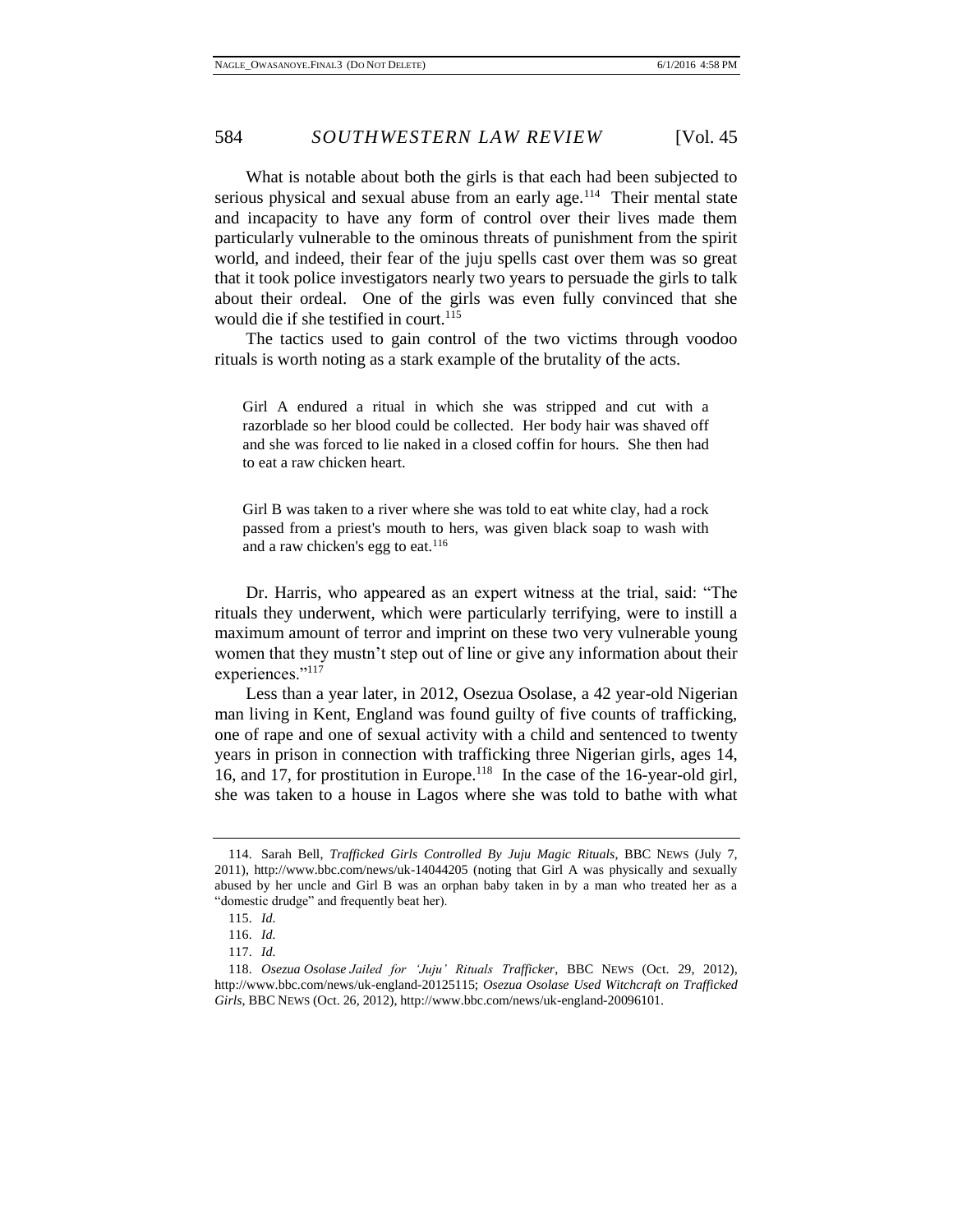What is notable about both the girls is that each had been subjected to serious physical and sexual abuse from an early age.<sup>114</sup> Their mental state and incapacity to have any form of control over their lives made them particularly vulnerable to the ominous threats of punishment from the spirit world, and indeed, their fear of the juju spells cast over them was so great that it took police investigators nearly two years to persuade the girls to talk about their ordeal. One of the girls was even fully convinced that she would die if she testified in court.<sup>115</sup>

The tactics used to gain control of the two victims through voodoo rituals is worth noting as a stark example of the brutality of the acts.

Girl A endured a ritual in which she was stripped and cut with a razorblade so her blood could be collected. Her body hair was shaved off and she was forced to lie naked in a closed coffin for hours. She then had to eat a raw chicken heart.

Girl B was taken to a river where she was told to eat white clay, had a rock passed from a priest's mouth to hers, was given black soap to wash with and a raw chicken's egg to eat.<sup>116</sup>

Dr. Harris, who appeared as an expert witness at the trial, said: "The rituals they underwent, which were particularly terrifying, were to instill a maximum amount of terror and imprint on these two very vulnerable young women that they mustn't step out of line or give any information about their experiences."117

Less than a year later, in 2012, Osezua Osolase, a 42 year-old Nigerian man living in Kent, England was found guilty of five counts of trafficking, one of rape and one of sexual activity with a child and sentenced to twenty years in prison in connection with trafficking three Nigerian girls, ages 14, 16, and 17, for prostitution in Europe.<sup>118</sup> In the case of the 16-year-old girl, she was taken to a house in Lagos where she was told to bathe with what

<sup>114.</sup> Sarah Bell, *Trafficked Girls Controlled By Juju Magic Rituals*, BBC NEWS (July 7, 2011), http://www.bbc.com/news/uk-14044205 (noting that Girl A was physically and sexually abused by her uncle and Girl B was an orphan baby taken in by a man who treated her as a "domestic drudge" and frequently beat her).

<sup>115.</sup> *Id.* 

<sup>116.</sup> *Id.* 

<sup>117.</sup> *Id.* 

<sup>118.</sup> *Osezua Osolase Jailed for 'Juju' Rituals Trafficker*, BBC NEWS (Oct. 29, 2012), http://www.bbc.com/news/uk-england-20125115; *Osezua Osolase Used Witchcraft on Trafficked Girls*, BBC NEWS (Oct. 26, 2012), http://www.bbc.com/news/uk-england-20096101.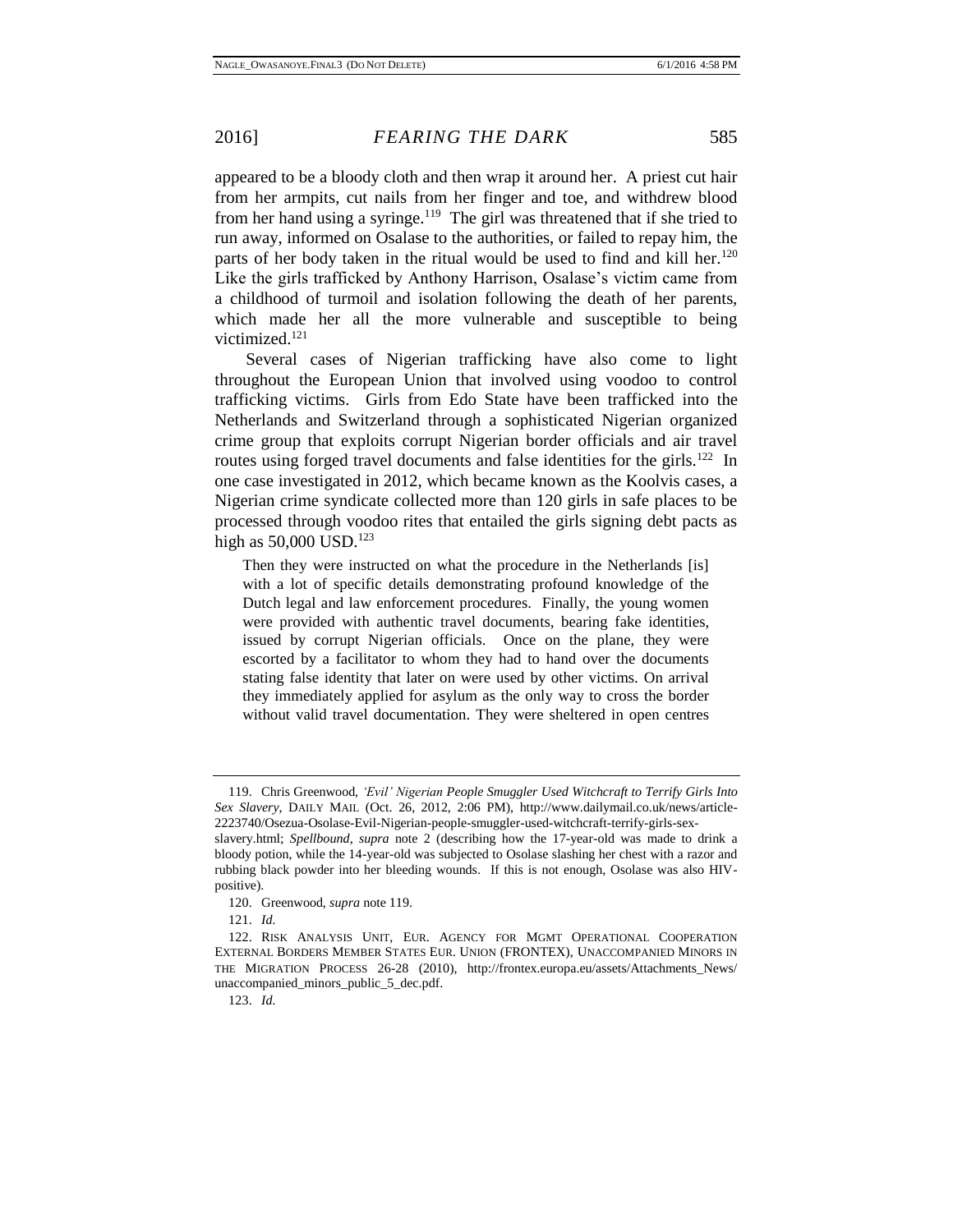appeared to be a bloody cloth and then wrap it around her. A priest cut hair from her armpits, cut nails from her finger and toe, and withdrew blood from her hand using a syringe.<sup>119</sup> The girl was threatened that if she tried to run away, informed on Osalase to the authorities, or failed to repay him, the parts of her body taken in the ritual would be used to find and kill her.<sup>120</sup> Like the girls trafficked by Anthony Harrison, Osalase's victim came from a childhood of turmoil and isolation following the death of her parents, which made her all the more vulnerable and susceptible to being victimized.<sup>121</sup>

Several cases of Nigerian trafficking have also come to light throughout the European Union that involved using voodoo to control trafficking victims. Girls from Edo State have been trafficked into the Netherlands and Switzerland through a sophisticated Nigerian organized crime group that exploits corrupt Nigerian border officials and air travel routes using forged travel documents and false identities for the girls.<sup>122</sup> In one case investigated in 2012, which became known as the Koolvis cases, a Nigerian crime syndicate collected more than 120 girls in safe places to be processed through voodoo rites that entailed the girls signing debt pacts as high as  $50,000$  USD.<sup>123</sup>

Then they were instructed on what the procedure in the Netherlands [is] with a lot of specific details demonstrating profound knowledge of the Dutch legal and law enforcement procedures. Finally, the young women were provided with authentic travel documents, bearing fake identities, issued by corrupt Nigerian officials. Once on the plane, they were escorted by a facilitator to whom they had to hand over the documents stating false identity that later on were used by other victims. On arrival they immediately applied for asylum as the only way to cross the border without valid travel documentation. They were sheltered in open centres

<sup>119.</sup> Chris Greenwood, *'Evil' Nigerian People Smuggler Used Witchcraft to Terrify Girls Into Sex Slavery*, DAILY MAIL (Oct. 26, 2012, 2:06 PM), http://www.dailymail.co.uk/news/article-2223740/Osezua-Osolase-Evil-Nigerian-people-smuggler-used-witchcraft-terrify-girls-sex-

slavery.html; *Spellbound*, *supra* note 2 (describing how the 17-year-old was made to drink a bloody potion, while the 14-year-old was subjected to Osolase slashing her chest with a razor and rubbing black powder into her bleeding wounds. If this is not enough, Osolase was also HIVpositive).

<sup>120.</sup> Greenwood, *supra* note 119.

<sup>121.</sup> *Id.* 

<sup>122.</sup> RISK ANALYSIS UNIT, EUR. AGENCY FOR MGMT OPERATIONAL COOPERATION EXTERNAL BORDERS MEMBER STATES EUR. UNION (FRONTEX), UNACCOMPANIED MINORS IN THE MIGRATION PROCESS 26-28 (2010), http://frontex.europa.eu/assets/Attachments\_News/ unaccompanied\_minors\_public\_5\_dec.pdf.

<sup>123.</sup> *Id.*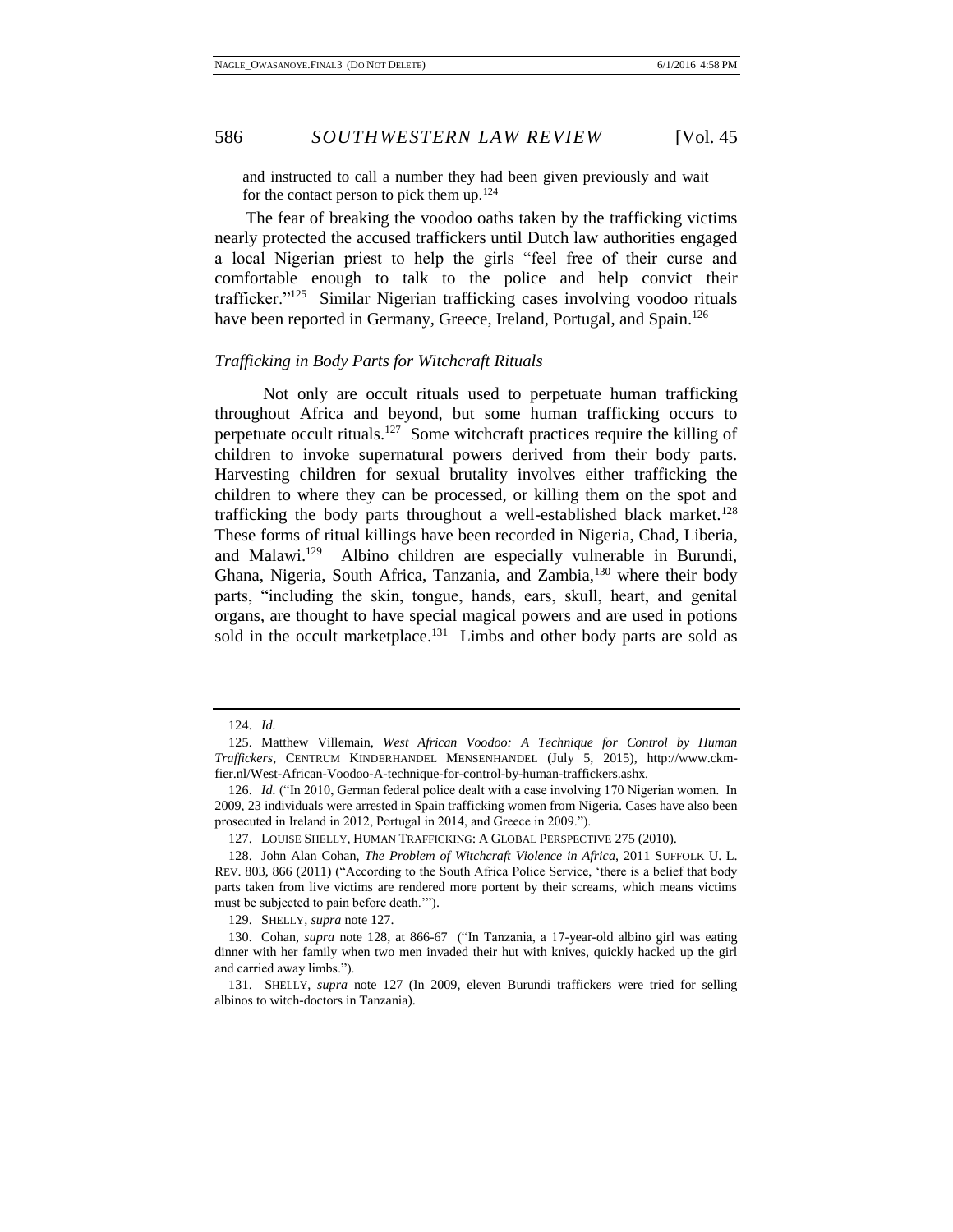and instructed to call a number they had been given previously and wait for the contact person to pick them up. $124$ 

The fear of breaking the voodoo oaths taken by the trafficking victims nearly protected the accused traffickers until Dutch law authorities engaged a local Nigerian priest to help the girls "feel free of their curse and comfortable enough to talk to the police and help convict their trafficker."<sup>125</sup> Similar Nigerian trafficking cases involving voodoo rituals have been reported in Germany, Greece, Ireland, Portugal, and Spain.<sup>126</sup>

## <span id="page-25-0"></span>*Trafficking in Body Parts for Witchcraft Rituals*

Not only are occult rituals used to perpetuate human trafficking throughout Africa and beyond, but some human trafficking occurs to perpetuate occult rituals.<sup>127</sup> Some witchcraft practices require the killing of children to invoke supernatural powers derived from their body parts. Harvesting children for sexual brutality involves either trafficking the children to where they can be processed, or killing them on the spot and trafficking the body parts throughout a well-established black market.<sup>128</sup> These forms of ritual killings have been recorded in Nigeria, Chad, Liberia, and Malawi.<sup>129</sup> Albino children are especially vulnerable in Burundi, Ghana, Nigeria, South Africa, Tanzania, and Zambia,<sup>130</sup> where their body parts, "including the skin, tongue, hands, ears, skull, heart, and genital organs, are thought to have special magical powers and are used in potions sold in the occult marketplace.<sup>131</sup> Limbs and other body parts are sold as

129. SHELLY*, supra* note 127.

<sup>124.</sup> *Id.*

<sup>125.</sup> Matthew Villemain, *West African Voodoo: A Technique for Control by Human Traffickers*, CENTRUM KINDERHANDEL MENSENHANDEL (July 5, 2015), http://www.ckmfier.nl/West-African-Voodoo-A-technique-for-control-by-human-traffickers.ashx.

<sup>126.</sup> *Id.* ("In 2010, German federal police dealt with a case involving 170 Nigerian women. In 2009, 23 individuals were arrested in Spain trafficking women from Nigeria. Cases have also been prosecuted in Ireland in 2012, Portugal in 2014, and Greece in 2009.").

<sup>127.</sup> LOUISE SHELLY, HUMAN TRAFFICKING: A GLOBAL PERSPECTIVE 275 (2010).

<sup>128.</sup> John Alan Cohan, *The Problem of Witchcraft Violence in Africa*, 2011 SUFFOLK U. L. REV. 803, 866 (2011) ("According to the South Africa Police Service, 'there is a belief that body parts taken from live victims are rendered more portent by their screams, which means victims must be subjected to pain before death.'").

<sup>130.</sup> Cohan, *supra* note 128, at 866-67 ("In Tanzania, a 17-year-old albino girl was eating dinner with her family when two men invaded their hut with knives, quickly hacked up the girl and carried away limbs.").

<sup>131.</sup> SHELLY, *supra* note 127 (In 2009, eleven Burundi traffickers were tried for selling albinos to witch-doctors in Tanzania).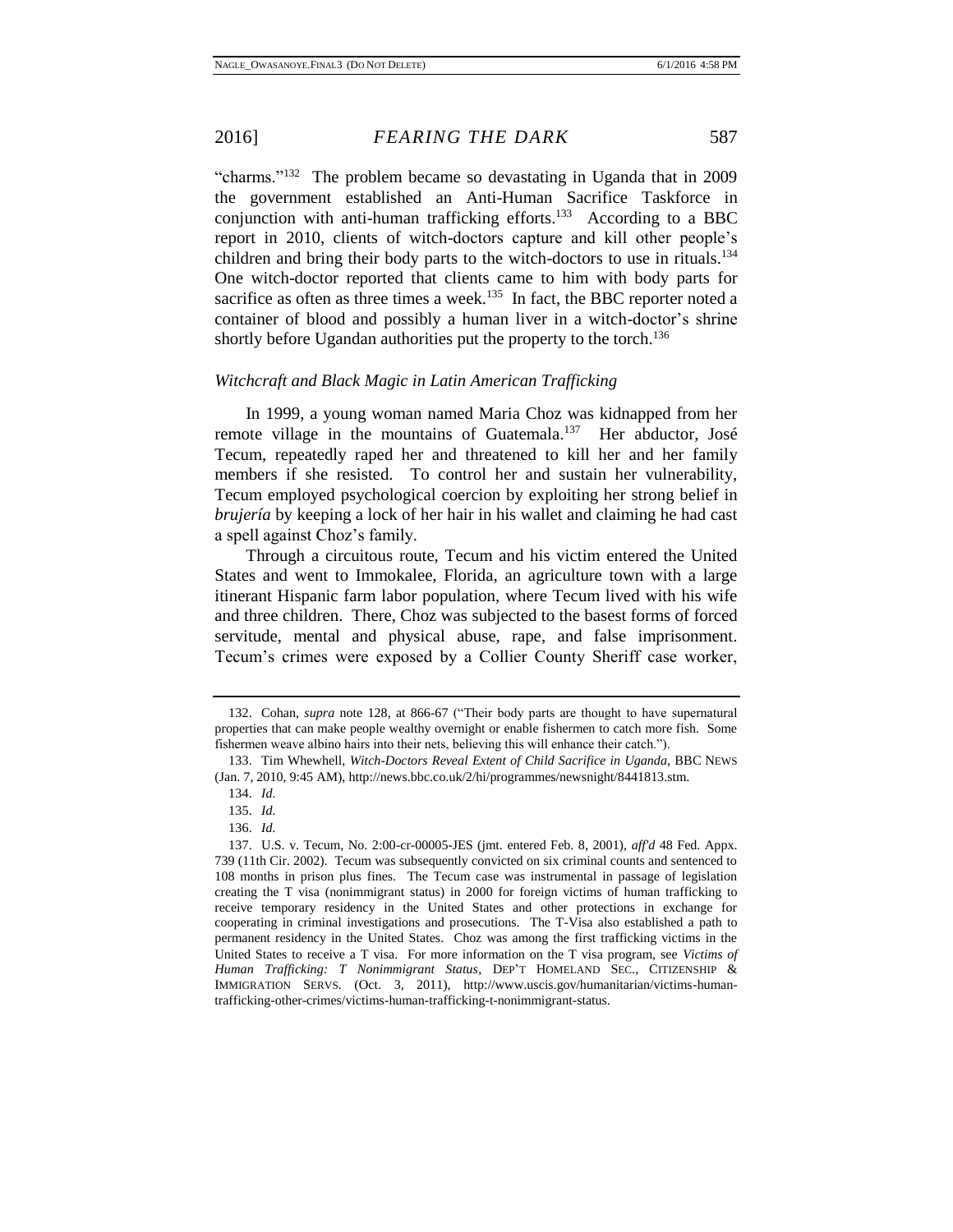"charms."<sup>132</sup> The problem became so devastating in Uganda that in 2009 the government established an Anti-Human Sacrifice Taskforce in conjunction with anti-human trafficking efforts.<sup>133</sup> According to a BBC report in 2010, clients of witch-doctors capture and kill other people's children and bring their body parts to the witch-doctors to use in rituals.<sup>134</sup> One witch-doctor reported that clients came to him with body parts for sacrifice as often as three times a week.<sup>135</sup> In fact, the BBC reporter noted a container of blood and possibly a human liver in a witch-doctor's shrine shortly before Ugandan authorities put the property to the torch.<sup>136</sup>

## <span id="page-26-0"></span>*Witchcraft and Black Magic in Latin American Trafficking*

In 1999, a young woman named Maria Choz was kidnapped from her remote village in the mountains of Guatemala.<sup>137</sup> Her abductor, José Tecum, repeatedly raped her and threatened to kill her and her family members if she resisted. To control her and sustain her vulnerability, Tecum employed psychological coercion by exploiting her strong belief in *brujería* by keeping a lock of her hair in his wallet and claiming he had cast a spell against Choz's family.

Through a circuitous route, Tecum and his victim entered the United States and went to Immokalee, Florida, an agriculture town with a large itinerant Hispanic farm labor population, where Tecum lived with his wife and three children. There, Choz was subjected to the basest forms of forced servitude, mental and physical abuse, rape, and false imprisonment. Tecum's crimes were exposed by a Collier County Sheriff case worker,

<sup>132.</sup> Cohan, *supra* note 128, at 866-67 ("Their body parts are thought to have supernatural properties that can make people wealthy overnight or enable fishermen to catch more fish. Some fishermen weave albino hairs into their nets, believing this will enhance their catch.").

<sup>133.</sup> Tim Whewhell, *Witch-Doctors Reveal Extent of Child Sacrifice in Uganda*, BBC NEWS (Jan. 7, 2010, 9:45 AM), http://news.bbc.co.uk/2/hi/programmes/newsnight/8441813.stm.

<sup>134.</sup> *Id.* 

<sup>135.</sup> *Id.* 

<sup>136.</sup> *Id.* 

<sup>137.</sup> U.S. v. Tecum, No. 2:00-cr-00005-JES (jmt. entered Feb. 8, 2001), *aff'd* 48 Fed. Appx. 739 (11th Cir. 2002). Tecum was subsequently convicted on six criminal counts and sentenced to 108 months in prison plus fines. The Tecum case was instrumental in passage of legislation creating the T visa (nonimmigrant status) in 2000 for foreign victims of human trafficking to receive temporary residency in the United States and other protections in exchange for cooperating in criminal investigations and prosecutions. The T-Visa also established a path to permanent residency in the United States. Choz was among the first trafficking victims in the United States to receive a T visa. For more information on the T visa program, see *Victims of Human Trafficking: T Nonimmigrant Status*, DEP'T HOMELAND SEC., CITIZENSHIP & IMMIGRATION SERVS. (Oct. 3, 2011), http://www.uscis.gov/humanitarian/victims-humantrafficking-other-crimes/victims-human-trafficking-t-nonimmigrant-status.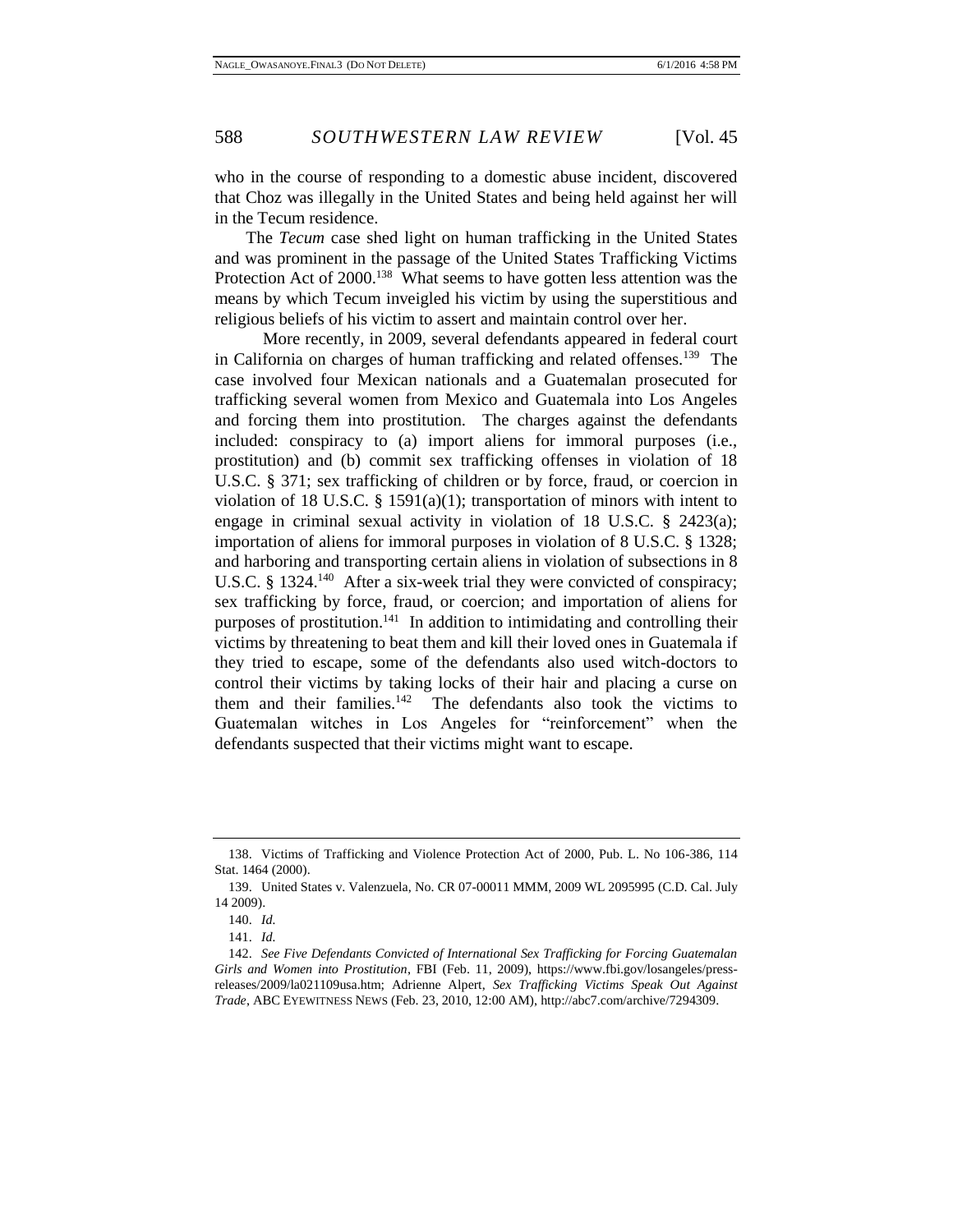who in the course of responding to a domestic abuse incident, discovered that Choz was illegally in the United States and being held against her will in the Tecum residence.

The *Tecum* case shed light on human trafficking in the United States and was prominent in the passage of the United States Trafficking Victims Protection Act of 2000.<sup>138</sup> What seems to have gotten less attention was the means by which Tecum inveigled his victim by using the superstitious and religious beliefs of his victim to assert and maintain control over her.

More recently, in 2009, several defendants appeared in federal court in California on charges of human trafficking and related offenses.<sup>139</sup> The case involved four Mexican nationals and a Guatemalan prosecuted for trafficking several women from Mexico and Guatemala into Los Angeles and forcing them into prostitution. The charges against the defendants included: conspiracy to (a) import aliens for immoral purposes (i.e., prostitution) and (b) commit sex trafficking offenses in violation of 18 U.S.C. § 371; sex trafficking of children or by force, fraud, or coercion in violation of 18 U.S.C. § 1591(a)(1); transportation of minors with intent to engage in criminal sexual activity in violation of 18 U.S.C. § 2423(a); importation of aliens for immoral purposes in violation of 8 U.S.C. § 1328; and harboring and transporting certain aliens in violation of subsections in 8 U.S.C. § 1324.<sup>140</sup> After a six-week trial they were convicted of conspiracy; sex trafficking by force, fraud, or coercion; and importation of aliens for purposes of prostitution.<sup>141</sup> In addition to intimidating and controlling their victims by threatening to beat them and kill their loved ones in Guatemala if they tried to escape, some of the defendants also used witch-doctors to control their victims by taking locks of their hair and placing a curse on them and their families.<sup>142</sup> The defendants also took the victims to Guatemalan witches in Los Angeles for "reinforcement" when the defendants suspected that their victims might want to escape.

<sup>138.</sup> Victims of Trafficking and Violence Protection Act of 2000, Pub. L. No 106-386, 114 Stat. 1464 (2000).

<sup>139.</sup> United States v. Valenzuela, No. CR 07-00011 MMM, 2009 WL 2095995 (C.D. Cal. July 14 2009).

<sup>140.</sup> *Id.*

<sup>141.</sup> *Id.* 

<sup>142.</sup> *See Five Defendants Convicted of International Sex Trafficking for Forcing Guatemalan Girls and Women into Prostitution*, FBI (Feb. 11, 2009), https://www.fbi.gov/losangeles/pressreleases/2009/la021109usa.htm; Adrienne Alpert, *Sex Trafficking Victims Speak Out Against Trade*, ABC EYEWITNESS NEWS (Feb. 23, 2010, 12:00 AM), http://abc7.com/archive/7294309.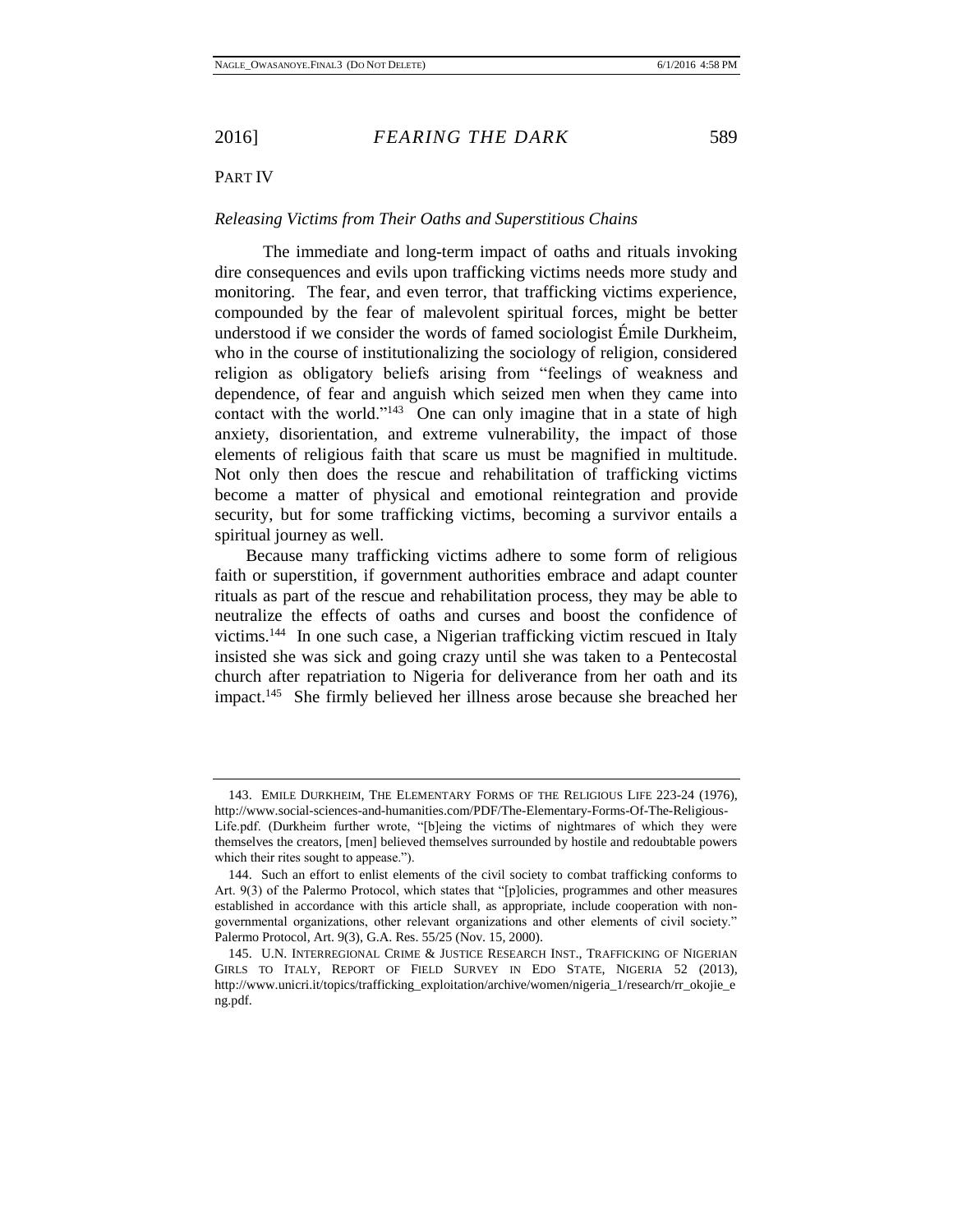# <span id="page-28-0"></span>PART IV

# <span id="page-28-1"></span>*Releasing Victims from Their Oaths and Superstitious Chains*

The immediate and long-term impact of oaths and rituals invoking dire consequences and evils upon trafficking victims needs more study and monitoring. The fear, and even terror, that trafficking victims experience, compounded by the fear of malevolent spiritual forces, might be better understood if we consider the words of famed sociologist Émile Durkheim, who in the course of institutionalizing the sociology of religion, considered religion as obligatory beliefs arising from "feelings of weakness and dependence, of fear and anguish which seized men when they came into contact with the world."<sup>143</sup> One can only imagine that in a state of high anxiety, disorientation, and extreme vulnerability, the impact of those elements of religious faith that scare us must be magnified in multitude. Not only then does the rescue and rehabilitation of trafficking victims become a matter of physical and emotional reintegration and provide security, but for some trafficking victims, becoming a survivor entails a spiritual journey as well.

Because many trafficking victims adhere to some form of religious faith or superstition, if government authorities embrace and adapt counter rituals as part of the rescue and rehabilitation process, they may be able to neutralize the effects of oaths and curses and boost the confidence of victims.<sup>144</sup> In one such case, a Nigerian trafficking victim rescued in Italy insisted she was sick and going crazy until she was taken to a Pentecostal church after repatriation to Nigeria for deliverance from her oath and its impact.<sup>145</sup> She firmly believed her illness arose because she breached her

<sup>143.</sup> EMILE DURKHEIM, THE ELEMENTARY FORMS OF THE RELIGIOUS LIFE 223-24 (1976), http://www.social-sciences-and-humanities.com/PDF/The-Elementary-Forms-Of-The-Religious-Life.pdf. (Durkheim further wrote, "[b]eing the victims of nightmares of which they were

themselves the creators, [men] believed themselves surrounded by hostile and redoubtable powers which their rites sought to appease.").

<sup>144.</sup> Such an effort to enlist elements of the civil society to combat trafficking conforms to Art. 9(3) of the Palermo Protocol, which states that "[p]olicies, programmes and other measures established in accordance with this article shall, as appropriate, include cooperation with nongovernmental organizations, other relevant organizations and other elements of civil society." Palermo Protocol, Art. 9(3), G.A. Res. 55/25 (Nov. 15, 2000).

<sup>145.</sup> U.N. INTERREGIONAL CRIME & JUSTICE RESEARCH INST., TRAFFICKING OF NIGERIAN GIRLS TO ITALY, REPORT OF FIELD SURVEY IN EDO STATE, NIGERIA 52 (2013), http://www.unicri.it/topics/trafficking\_exploitation/archive/women/nigeria\_1/research/rr\_okojie\_e ng.pdf.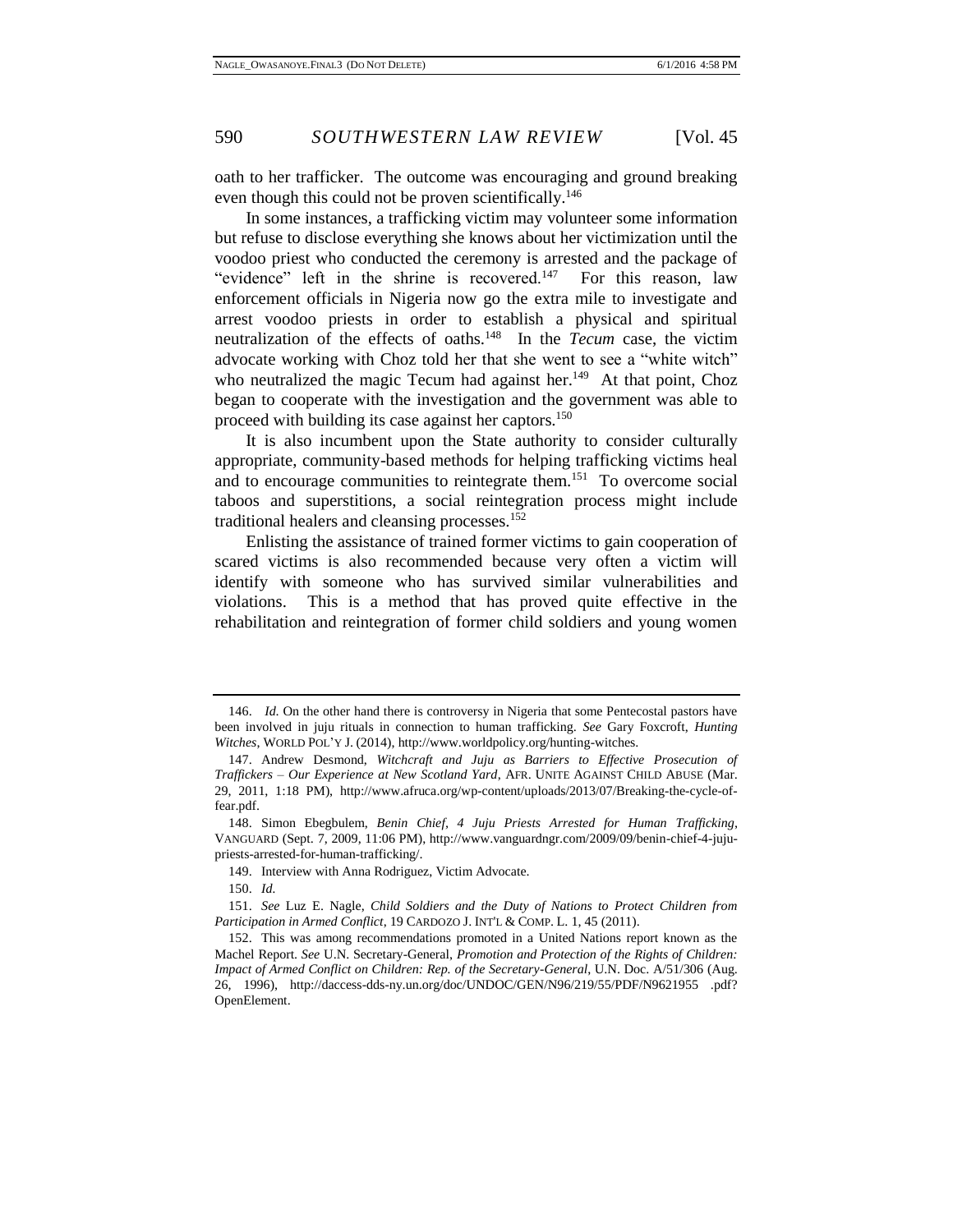oath to her trafficker. The outcome was encouraging and ground breaking even though this could not be proven scientifically.<sup>146</sup>

In some instances, a trafficking victim may volunteer some information but refuse to disclose everything she knows about her victimization until the voodoo priest who conducted the ceremony is arrested and the package of "evidence" left in the shrine is recovered.<sup>147</sup> For this reason, law enforcement officials in Nigeria now go the extra mile to investigate and arrest voodoo priests in order to establish a physical and spiritual neutralization of the effects of oaths.<sup>148</sup> In the *Tecum* case, the victim advocate working with Choz told her that she went to see a "white witch" who neutralized the magic Tecum had against her. $149$  At that point, Choz began to cooperate with the investigation and the government was able to proceed with building its case against her captors.<sup>150</sup>

It is also incumbent upon the State authority to consider culturally appropriate, community-based methods for helping trafficking victims heal and to encourage communities to reintegrate them.<sup>151</sup> To overcome social taboos and superstitions, a social reintegration process might include traditional healers and cleansing processes.<sup>152</sup>

Enlisting the assistance of trained former victims to gain cooperation of scared victims is also recommended because very often a victim will identify with someone who has survived similar vulnerabilities and violations. This is a method that has proved quite effective in the rehabilitation and reintegration of former child soldiers and young women

<sup>146.</sup> *Id*. On the other hand there is controversy in Nigeria that some Pentecostal pastors have been involved in juju rituals in connection to human trafficking. *See* Gary Foxcroft, *Hunting Witches*, WORLD POL'Y J. (2014), http://www.worldpolicy.org/hunting-witches.

<sup>147.</sup> Andrew Desmond, *Witchcraft and Juju as Barriers to Effective Prosecution of Traffickers – Our Experience at New Scotland Yard*, AFR. UNITE AGAINST CHILD ABUSE (Mar. 29, 2011, 1:18 PM), http://www.afruca.org/wp-content/uploads/2013/07/Breaking-the-cycle-offear.pdf.

<sup>148.</sup> Simon Ebegbulem, *Benin Chief, 4 Juju Priests Arrested for Human Trafficking*, VANGUARD (Sept. 7, 2009, 11:06 PM), http://www.vanguardngr.com/2009/09/benin-chief-4-jujupriests-arrested-for-human-trafficking/.

<sup>149.</sup> Interview with Anna Rodriguez, Victim Advocate.

<sup>150.</sup> *Id.* 

<sup>151.</sup> *See* Luz E. Nagle, *Child Soldiers and the Duty of Nations to Protect Children from Participation in Armed Conflict*, 19 CARDOZO J. INT'L & COMP. L. 1, 45 (2011).

<sup>152.</sup> This was among recommendations promoted in a United Nations report known as the Machel Report. *See* U.N. Secretary-General, *Promotion and Protection of the Rights of Children: Impact of Armed Conflict on Children: Rep. of the Secretary-General*, U.N. Doc. A/51/306 (Aug. 26, 1996), http://daccess-dds-ny.un.org/doc/UNDOC/GEN/N96/219/55/PDF/N9621955 .pdf? OpenElement.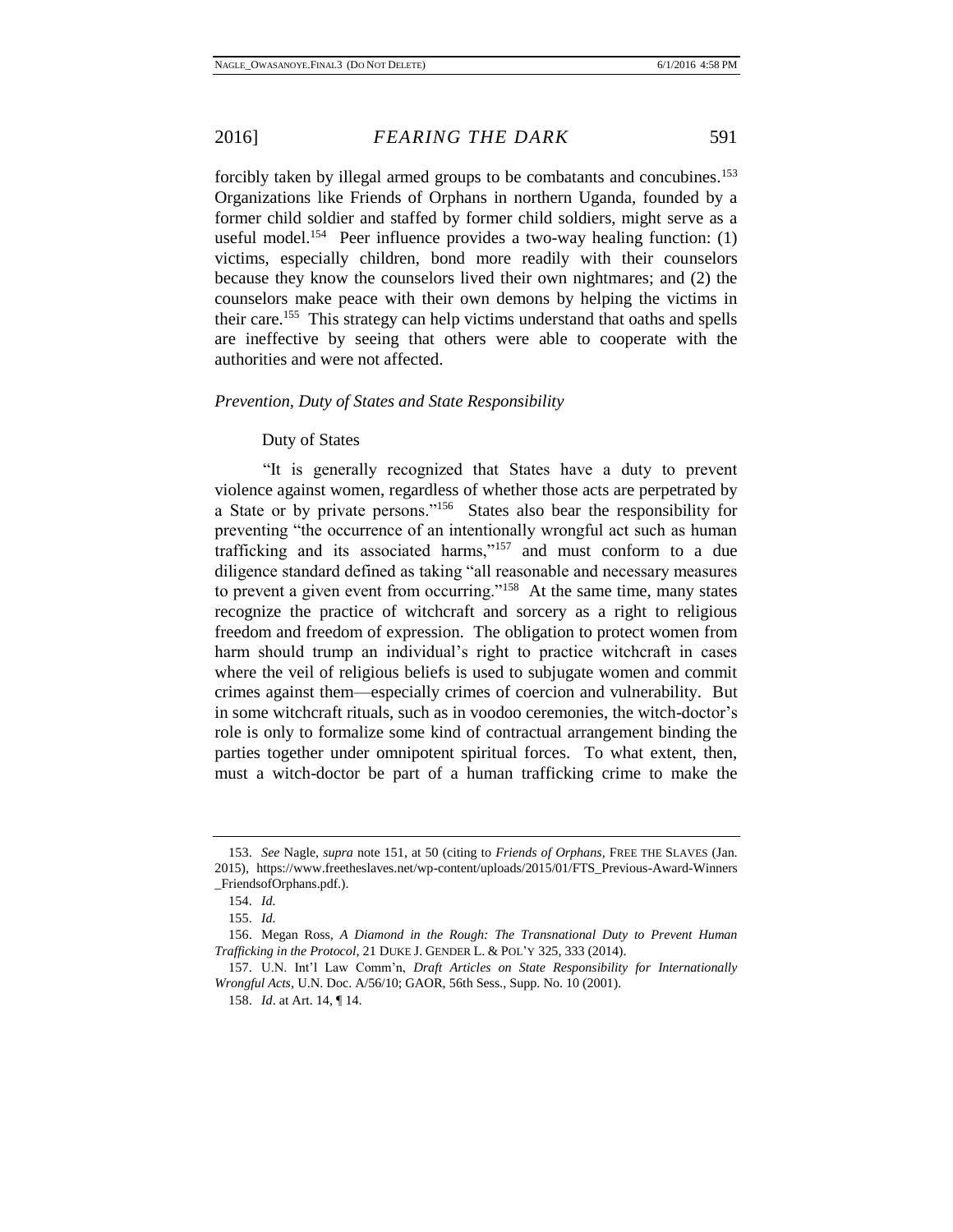forcibly taken by illegal armed groups to be combatants and concubines.<sup>153</sup> Organizations like Friends of Orphans in northern Uganda, founded by a former child soldier and staffed by former child soldiers, might serve as a useful model.<sup>154</sup> Peer influence provides a two-way healing function:  $(1)$ victims, especially children, bond more readily with their counselors because they know the counselors lived their own nightmares; and (2) the counselors make peace with their own demons by helping the victims in their care.<sup>155</sup> This strategy can help victims understand that oaths and spells are ineffective by seeing that others were able to cooperate with the authorities and were not affected.

## <span id="page-30-0"></span>*Prevention, Duty of States and State Responsibility*

## <span id="page-30-1"></span>Duty of States

"It is generally recognized that States have a duty to prevent violence against women, regardless of whether those acts are perpetrated by a State or by private persons."<sup>156</sup> States also bear the responsibility for preventing "the occurrence of an intentionally wrongful act such as human trafficking and its associated harms,"<sup>157</sup> and must conform to a due diligence standard defined as taking "all reasonable and necessary measures to prevent a given event from occurring."<sup>158</sup> At the same time, many states recognize the practice of witchcraft and sorcery as a right to religious freedom and freedom of expression. The obligation to protect women from harm should trump an individual's right to practice witchcraft in cases where the veil of religious beliefs is used to subjugate women and commit crimes against them—especially crimes of coercion and vulnerability. But in some witchcraft rituals, such as in voodoo ceremonies, the witch-doctor's role is only to formalize some kind of contractual arrangement binding the parties together under omnipotent spiritual forces. To what extent, then, must a witch-doctor be part of a human trafficking crime to make the

<sup>153.</sup> *See* Nagle, *supra* note 151, at 50 (citing to *Friends of Orphans*, FREE THE SLAVES (Jan. 2015), https://www.freetheslaves.net/wp-content/uploads/2015/01/FTS\_Previous-Award-Winners \_FriendsofOrphans.pdf.).

<sup>154.</sup> *Id.* 

<sup>155.</sup> *Id.* 

<sup>156.</sup> Megan Ross, *A Diamond in the Rough: The Transnational Duty to Prevent Human Trafficking in the Protocol*, 21 DUKE J. GENDER L. & POL'Y 325, 333 (2014).

<sup>157.</sup> U.N. Int'l Law Comm'n, *Draft Articles on State Responsibility for Internationally Wrongful Acts*, U.N. Doc. A/56/10; GAOR, 56th Sess., Supp. No. 10 (2001).

<sup>158.</sup> *Id*. at Art. 14, ¶ 14.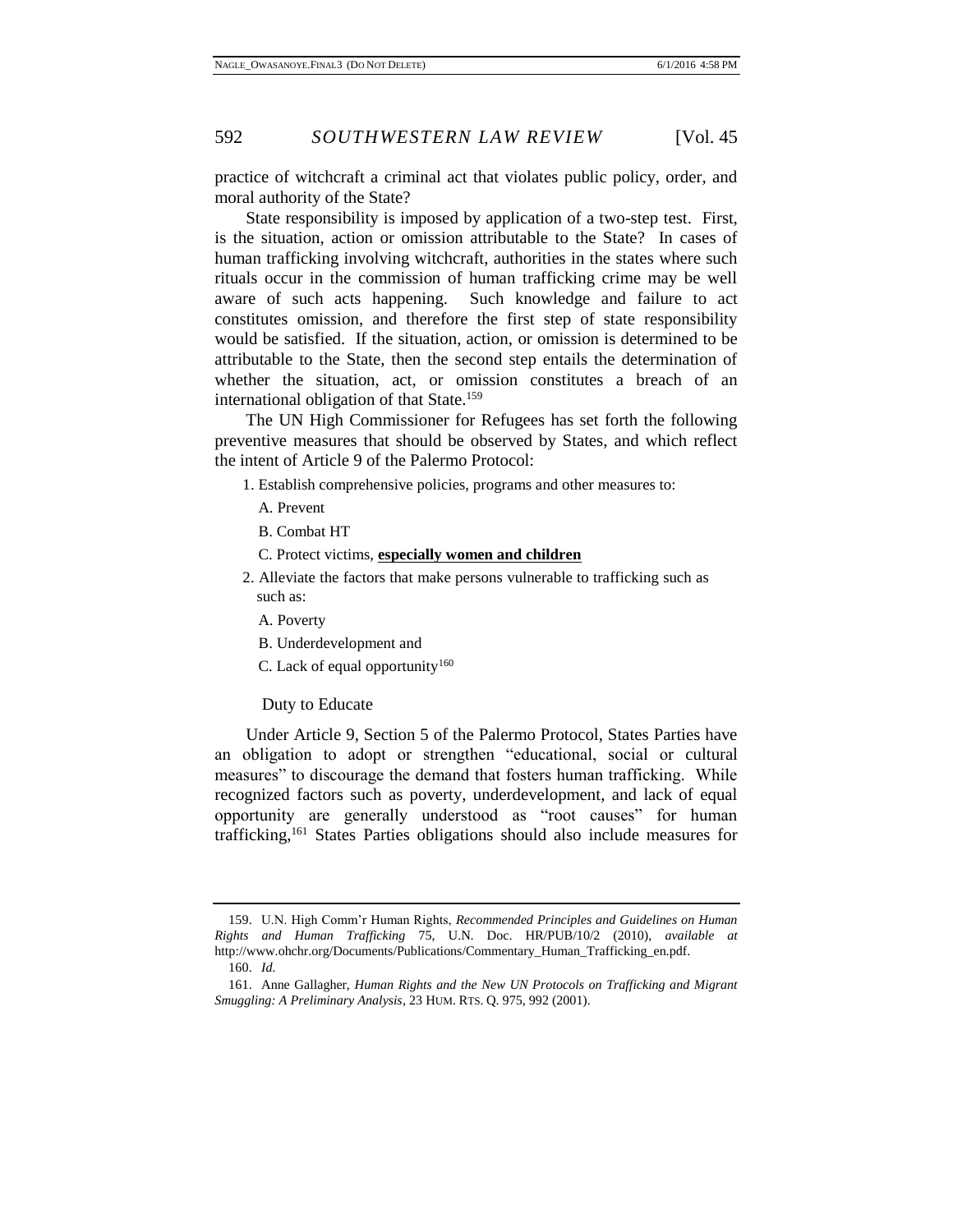practice of witchcraft a criminal act that violates public policy, order, and moral authority of the State?

State responsibility is imposed by application of a two-step test. First, is the situation, action or omission attributable to the State? In cases of human trafficking involving witchcraft, authorities in the states where such rituals occur in the commission of human trafficking crime may be well aware of such acts happening. Such knowledge and failure to act constitutes omission, and therefore the first step of state responsibility would be satisfied. If the situation, action, or omission is determined to be attributable to the State, then the second step entails the determination of whether the situation, act, or omission constitutes a breach of an international obligation of that State.<sup>159</sup>

The UN High Commissioner for Refugees has set forth the following preventive measures that should be observed by States, and which reflect the intent of Article 9 of the Palermo Protocol:

- 1. Establish comprehensive policies, programs and other measures to:
	- A. Prevent
	- B. Combat HT
	- C. Protect victims, **especially women and children**
- 2. Alleviate the factors that make persons vulnerable to trafficking such as such as:
	- A. Poverty
	- B. Underdevelopment and
	- C. Lack of equal opportunity<sup>160</sup>

<span id="page-31-0"></span>Duty to Educate

Under Article 9, Section 5 of the Palermo Protocol, States Parties have an obligation to adopt or strengthen "educational, social or cultural measures" to discourage the demand that fosters human trafficking. While recognized factors such as poverty, underdevelopment, and lack of equal opportunity are generally understood as "root causes" for human trafficking,<sup>161</sup> States Parties obligations should also include measures for

<sup>159.</sup> U.N. High Comm'r Human Rights, *Recommended Principles and Guidelines on Human Rights and Human Trafficking* 75, U.N. Doc. HR/PUB/10/2 (2010), *available at* http://www.ohchr.org/Documents/Publications/Commentary\_Human\_Trafficking\_en.pdf. 160. *Id.* 

<sup>161.</sup> Anne Gallagher, *Human Rights and the New UN Protocols on Trafficking and Migrant Smuggling: A Preliminary Analysis*, 23 HUM. RTS. Q. 975, 992 (2001).